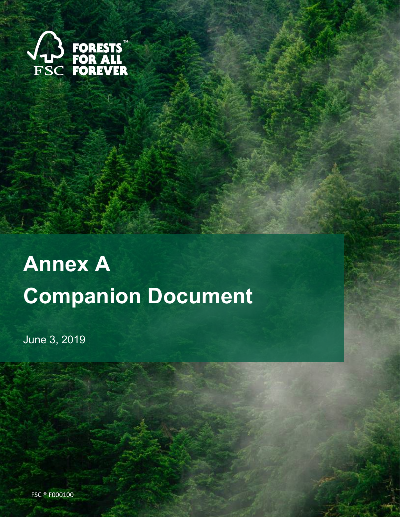

# **Annex A Companion Document**

June 3, 2019

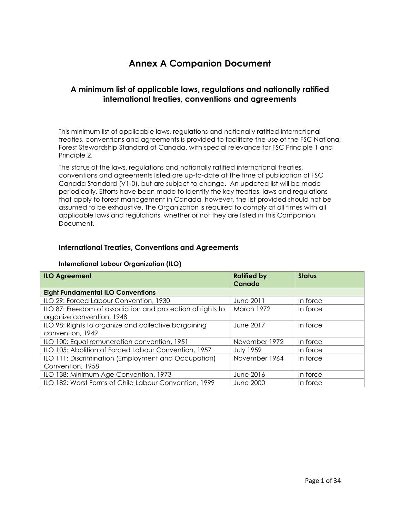## **Annex A Companion Document**

#### **A minimum list of applicable laws, regulations and nationally ratified international treaties, conventions and agreements**

This minimum list of applicable laws, regulations and nationally ratified international treaties, conventions and agreements is provided to facilitate the use of the FSC National Forest Stewardship Standard of Canada, with special relevance for FSC Principle 1 and Principle 2.

The status of the laws, regulations and nationally ratified international treaties, conventions and agreements listed are up-to-date at the time of publication of FSC Canada Standard (V1-0), but are subject to change. An updated list will be made periodically. Efforts have been made to identify the key treaties, laws and regulations that apply to forest management in Canada, however, the list provided should not be assumed to be exhaustive. The Organization is required to comply at all times with all applicable laws and regulations, whether or not they are listed in this Companion Document.

#### **International Treaties, Conventions and Agreements**

#### **International Labour Organization (ILO)**

| <b>ILO Agreement</b>                                       | <b>Ratified by</b><br>Canada | <b>Status</b> |
|------------------------------------------------------------|------------------------------|---------------|
| <b>Eight Fundamental ILO Conventions</b>                   |                              |               |
| ILO 29: Forced Labour Convention, 1930                     | June 2011                    | In force      |
| ILO 87: Freedom of association and protection of rights to | March 1972                   | In force      |
| organize convention, 1948                                  |                              |               |
| ILO 98: Rights to organize and collective bargaining       | June 2017                    | In force      |
| convention, 1949                                           |                              |               |
| ILO 100: Equal remuneration convention, 1951               | November 1972                | In force      |
| ILO 105: Abolition of Forced Labour Convention, 1957       | <b>July 1959</b>             | In force      |
| ILO 111: Discrimination (Employment and Occupation)        | November 1964                | In force      |
| Convention, 1958                                           |                              |               |
| ILO 138: Minimum Age Convention, 1973                      | June 2016                    | In force      |
| ILO 182: Worst Forms of Child Labour Convention, 1999      | <b>June 2000</b>             | In force      |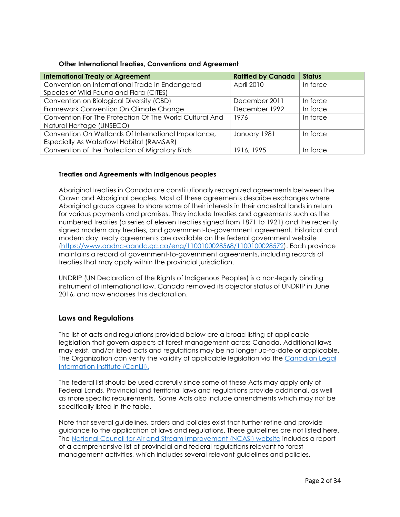#### **Other International Treaties, Conventions and Agreement**

| <b>International Treaty or Agreement</b>                | <b>Ratified by Canada</b> | <b>Status</b> |
|---------------------------------------------------------|---------------------------|---------------|
| Convention on International Trade in Endangered         | April 2010                | In force      |
| Species of Wild Fauna and Flora (CITES)                 |                           |               |
| Convention on Biological Diversity (CBD)                | December 2011             | In force      |
| Framework Convention On Climate Change                  | December 1992             | In force      |
| Convention For The Protection Of The World Cultural And | 1976                      | In force      |
| Natural Heritage (UNSECO)                               |                           |               |
| Convention On Wetlands Of International Importance,     | January 1981              | In force      |
| Especially As Waterfowl Habitat (RAMSAR)                |                           |               |
| Convention of the Protection of Migratory Birds         | 1916, 1995                | In force      |

#### **Treaties and Agreements with Indigenous peoples**

Aboriginal treaties in Canada are constitutionally recognized agreements between the Crown and Aboriginal peoples. Most of these agreements describe exchanges where Aboriginal groups agree to share some of their interests in their ancestral lands in return for various payments and promises. They include treaties and agreements such as the numbered treaties (a series of eleven treaties signed from 1871 to 1921) and the recently signed modern day treaties, and government-to-government agreement. Historical and modern day treaty agreements are available on the federal government website [\(https://www.aadnc-aandc.gc.ca/eng/1100100028568/1100100028572\)](https://www.aadnc-aandc.gc.ca/eng/1100100028568/1100100028572). Each province maintains a record of government-to-government agreements, including records of treaties that may apply within the provincial jurisdiction.

UNDRIP (UN Declaration of the Rights of Indigenous Peoples) is a non-legally binding instrument of international law. Canada removed its objector status of UNDRIP in June 2016, and now endorses this declaration.

#### **Laws and Regulations**

The list of acts and regulations provided below are a broad listing of applicable legislation that govern aspects of forest management across Canada. Additional laws may exist, and/or listed acts and regulations may be no longer up-to-date or applicable. The Organization can verify the validity of applicable legislation via the [Canadian Legal](https://www.canlii.org/en/index.html)  [Information Institute \(CanLII\).](https://www.canlii.org/en/index.html)

The federal list should be used carefully since some of these Acts may apply only of Federal Lands. Provincial and territorial laws and regulations provide additional, as well as more specific requirements. Some Acts also include amendments which may not be specifically listed in the table.

Note that several guidelines, orders and policies exist that further refine and provide guidance to the application of laws and regulations. These guidelines are not listed here. The [National Council for Air and Stream Improvement \(NCASI\) website](http://www.ncasi.org/Programs/Forestry/Resources/Compilation-of-Canadian-Regulations/Index.aspx) includes a report of a comprehensive list of provincial and federal regulations relevant to forest management activities, which includes several relevant guidelines and policies.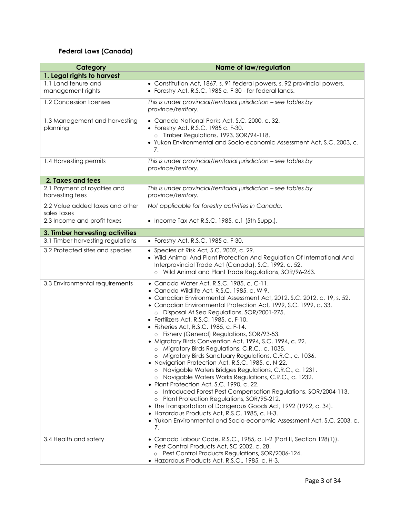## **Federal Laws (Canada)**

| Category                                        | <b>Name of law/regulation</b>                                                                                                                                                                                                                                                                                                                                                                                                                                                                                                                                                                                                                                                                                                                                                                                                                                                                                                                                                                                                                                                                                                                                      |
|-------------------------------------------------|--------------------------------------------------------------------------------------------------------------------------------------------------------------------------------------------------------------------------------------------------------------------------------------------------------------------------------------------------------------------------------------------------------------------------------------------------------------------------------------------------------------------------------------------------------------------------------------------------------------------------------------------------------------------------------------------------------------------------------------------------------------------------------------------------------------------------------------------------------------------------------------------------------------------------------------------------------------------------------------------------------------------------------------------------------------------------------------------------------------------------------------------------------------------|
| 1. Legal rights to harvest                      |                                                                                                                                                                                                                                                                                                                                                                                                                                                                                                                                                                                                                                                                                                                                                                                                                                                                                                                                                                                                                                                                                                                                                                    |
| 1.1 Land tenure and<br>management rights        | • Constitution Act, 1867, s. 91 federal powers, s. 92 provincial powers.<br>• Forestry Act, R.S.C. 1985 c. F-30 - for federal lands.                                                                                                                                                                                                                                                                                                                                                                                                                                                                                                                                                                                                                                                                                                                                                                                                                                                                                                                                                                                                                               |
| 1.2 Concession licenses                         | This is under provincial/territorial jurisdiction - see tables by<br>province/territory.                                                                                                                                                                                                                                                                                                                                                                                                                                                                                                                                                                                                                                                                                                                                                                                                                                                                                                                                                                                                                                                                           |
| 1.3 Management and harvesting<br>planning       | • Canada National Parks Act, S.C. 2000, c. 32.<br>• Forestry Act, R.S.C. 1985 c. F-30.<br>o Timber Regulations, 1993. SOR/94-118.<br>• Yukon Environmental and Socio-economic Assessment Act, S.C. 2003, c.<br>7.                                                                                                                                                                                                                                                                                                                                                                                                                                                                                                                                                                                                                                                                                                                                                                                                                                                                                                                                                  |
| 1.4 Harvesting permits                          | This is under provincial/territorial jurisdiction - see tables by<br>province/territory.                                                                                                                                                                                                                                                                                                                                                                                                                                                                                                                                                                                                                                                                                                                                                                                                                                                                                                                                                                                                                                                                           |
| 2. Taxes and fees                               |                                                                                                                                                                                                                                                                                                                                                                                                                                                                                                                                                                                                                                                                                                                                                                                                                                                                                                                                                                                                                                                                                                                                                                    |
| 2.1 Payment of royalties and<br>harvesting fees | This is under provincial/territorial jurisdiction - see tables by<br>province/territory.                                                                                                                                                                                                                                                                                                                                                                                                                                                                                                                                                                                                                                                                                                                                                                                                                                                                                                                                                                                                                                                                           |
| 2.2 Value added taxes and other<br>sales taxes  | Not applicable for forestry activities in Canada.                                                                                                                                                                                                                                                                                                                                                                                                                                                                                                                                                                                                                                                                                                                                                                                                                                                                                                                                                                                                                                                                                                                  |
| 2.3 Income and profit taxes                     | • Income Tax Act R.S.C. 1985, c.1 (5th Supp.).                                                                                                                                                                                                                                                                                                                                                                                                                                                                                                                                                                                                                                                                                                                                                                                                                                                                                                                                                                                                                                                                                                                     |
| 3. Timber harvesting activities                 |                                                                                                                                                                                                                                                                                                                                                                                                                                                                                                                                                                                                                                                                                                                                                                                                                                                                                                                                                                                                                                                                                                                                                                    |
| 3.1 Timber harvesting regulations               | • Forestry Act, R.S.C. 1985 c. F-30.                                                                                                                                                                                                                                                                                                                                                                                                                                                                                                                                                                                                                                                                                                                                                                                                                                                                                                                                                                                                                                                                                                                               |
| 3.2 Protected sites and species                 | • Species at Risk Act, S.C. 2002, c. 29.<br>. Wild Animal And Plant Protection And Regulation Of International And<br>Interprovincial Trade Act (Canada), S.C. 1992, c. 52.<br>o Wild Animal and Plant Trade Regulations, SOR/96-263.                                                                                                                                                                                                                                                                                                                                                                                                                                                                                                                                                                                                                                                                                                                                                                                                                                                                                                                              |
| 3.3 Environmental requirements                  | · Canada Water Act, R.S.C. 1985, c. C-11.<br>· Canada Wildlife Act, R.S.C. 1985, c. W-9.<br>• Canadian Environmental Assessment Act, 2012, S.C. 2012, c. 19, s. 52.<br>• Canadian Environmental Protection Act, 1999, S.C. 1999, c. 33.<br>Disposal At Sea Regulations, SOR/2001-275.<br>• Fertilizers Act, R.S.C. 1985, c. F-10.<br>• Fisheries Act, R.S.C. 1985, c. F-14.<br>o Fishery (General) Regulations, SOR/93-53.<br>• Migratory Birds Convention Act, 1994, S.C. 1994, c. 22.<br>o Migratory Birds Regulations, C.R.C., c. 1035.<br>o Migratory Birds Sanctuary Regulations, C.R.C., c. 1036.<br>• Navigation Protection Act, R.S.C. 1985, c. N-22.<br>o Navigable Waters Bridges Regulations, C.R.C., c. 1231.<br>o Navigable Waters Works Regulations, C.R.C., c. 1232.<br>• Plant Protection Act, S.C. 1990, c. 22.<br>o Introduced Forest Pest Compensation Regulations, SOR/2004-113.<br>Plant Protection Regulations, SOR/95-212.<br>$\circ$<br>• The Transportation of Dangerous Goods Act, 1992 (1992, c. 34).<br>• Hazardous Products Act, R.S.C. 1985, c. H-3.<br>• Yukon Environmental and Socio-economic Assessment Act, S.C. 2003, c.<br>7. |
| 3.4 Health and safety                           | • Canada Labour Code, R.S.C., 1985, c. L-2 (Part II, Section 128(1)).<br>• Pest Control Products Act, SC 2002, c. 28.<br>o Pest Control Products Regulations, SOR/2006-124.<br>• Hazardous Products Act, R.S.C., 1985, c. H-3.                                                                                                                                                                                                                                                                                                                                                                                                                                                                                                                                                                                                                                                                                                                                                                                                                                                                                                                                     |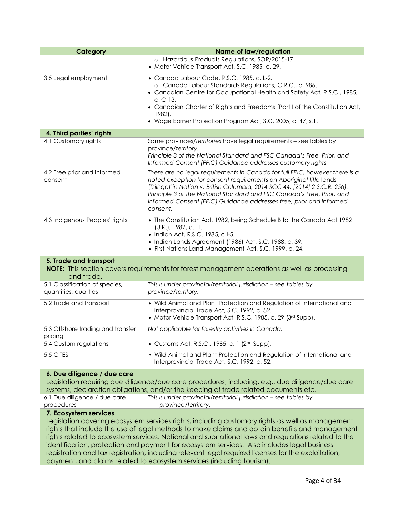| Category                                                                                                                                                                                                                                                                                                                                                                                                                                                                                                                                                                                                          | <b>Name of law/regulation</b>                                                                                                                                                                                                                                                                                                                                                                 |
|-------------------------------------------------------------------------------------------------------------------------------------------------------------------------------------------------------------------------------------------------------------------------------------------------------------------------------------------------------------------------------------------------------------------------------------------------------------------------------------------------------------------------------------------------------------------------------------------------------------------|-----------------------------------------------------------------------------------------------------------------------------------------------------------------------------------------------------------------------------------------------------------------------------------------------------------------------------------------------------------------------------------------------|
|                                                                                                                                                                                                                                                                                                                                                                                                                                                                                                                                                                                                                   | o Hazardous Products Regulations, SOR/2015-17.<br>• Motor Vehicle Transport Act, S.C. 1985, c. 29.                                                                                                                                                                                                                                                                                            |
| 3.5 Legal employment                                                                                                                                                                                                                                                                                                                                                                                                                                                                                                                                                                                              | · Canada Labour Code, R.S.C. 1985, c. L-2.<br>o Canada Labour Standards Regulations, C.R.C., c. 986.<br>• Canadian Centre for Occupational Health and Safety Act, R.S.C., 1985,<br>$C. C-13.$                                                                                                                                                                                                 |
|                                                                                                                                                                                                                                                                                                                                                                                                                                                                                                                                                                                                                   | • Canadian Charter of Rights and Freedoms (Part I of the Constitution Act,<br>1982).                                                                                                                                                                                                                                                                                                          |
|                                                                                                                                                                                                                                                                                                                                                                                                                                                                                                                                                                                                                   | • Wage Earner Protection Program Act, S.C. 2005, c. 47, s.1.                                                                                                                                                                                                                                                                                                                                  |
| 4. Third parties' rights                                                                                                                                                                                                                                                                                                                                                                                                                                                                                                                                                                                          |                                                                                                                                                                                                                                                                                                                                                                                               |
| 4.1 Customary rights                                                                                                                                                                                                                                                                                                                                                                                                                                                                                                                                                                                              | Some provinces/territories have legal requirements - see tables by<br>province/territory.<br>Principle 3 of the National Standard and FSC Canada's Free, Prior, and<br>Informed Consent (FPIC) Guidance addresses customary rights.                                                                                                                                                           |
| 4.2 Free prior and informed<br>consent                                                                                                                                                                                                                                                                                                                                                                                                                                                                                                                                                                            | There are no legal requirements in Canada for full FPIC, however there is a<br>noted exception for consent requirements on Aboriginal title lands<br>(Tsilhqot'in Nation v. British Columbia, 2014 SCC 44, [2014] 2 S.C.R. 256).<br>Principle 3 of the National Standard and FSC Canada's Free, Prior, and<br>Informed Consent (FPIC) Guidance addresses free, prior and informed<br>consent. |
| 4.3 Indigenous Peoples' rights                                                                                                                                                                                                                                                                                                                                                                                                                                                                                                                                                                                    | • The Constitution Act, 1982, being Schedule B to the Canada Act 1982<br>(U.K.), 1982, c.11.<br>• Indian Act, R.S.C. 1985, c I-5.<br>• Indian Lands Agreement (1986) Act, S.C. 1988, c. 39.<br>• First Nations Land Management Act, S.C. 1999, c. 24.                                                                                                                                         |
| 5. Trade and transport<br>and trade.                                                                                                                                                                                                                                                                                                                                                                                                                                                                                                                                                                              | NOTE: This section covers requirements for forest management operations as well as processing                                                                                                                                                                                                                                                                                                 |
| 5.1 Classification of species,<br>quantities, qualities                                                                                                                                                                                                                                                                                                                                                                                                                                                                                                                                                           | This is under provincial/territorial jurisdiction - see tables by<br>province/territory.                                                                                                                                                                                                                                                                                                      |
| 5.2 Trade and transport                                                                                                                                                                                                                                                                                                                                                                                                                                                                                                                                                                                           | • Wild Animal and Plant Protection and Regulation of International and<br>Interprovincial Trade Act, S.C. 1992, c. 52.<br>• Motor Vehicle Transport Act, R.S.C. 1985, c. 29 (3rd Supp).                                                                                                                                                                                                       |
| 5.3 Offshore trading and transfer<br>pricing                                                                                                                                                                                                                                                                                                                                                                                                                                                                                                                                                                      | Not applicable for forestry activities in Canada.                                                                                                                                                                                                                                                                                                                                             |
| 5.4 Custom regulations                                                                                                                                                                                                                                                                                                                                                                                                                                                                                                                                                                                            | • Customs Act, R.S.C., 1985, c. 1 (2nd Supp).                                                                                                                                                                                                                                                                                                                                                 |
| 5.5 CITES                                                                                                                                                                                                                                                                                                                                                                                                                                                                                                                                                                                                         | . Wild Animal and Plant Protection and Regulation of International and<br>Interprovincial Trade Act, S.C. 1992, c. 52.                                                                                                                                                                                                                                                                        |
| 6. Due diligence / due care<br>Legislation requiring due diligence/due care procedures, including, e.g., due diligence/due care<br>systems, declaration obligations, and/or the keeping of trade related documents etc.                                                                                                                                                                                                                                                                                                                                                                                           |                                                                                                                                                                                                                                                                                                                                                                                               |
| 6.1 Due diligence / due care<br>procedures                                                                                                                                                                                                                                                                                                                                                                                                                                                                                                                                                                        | This is under provincial/territorial jurisdiction - see tables by<br>province/territory.                                                                                                                                                                                                                                                                                                      |
| 7. Ecosystem services<br>Legislation covering ecosystem services rights, including customary rights as well as management<br>rights that include the use of legal methods to make claims and obtain benefits and management<br>rights related to ecosystem services. National and subnational laws and regulations related to the<br>identification, protection and payment for ecosystem services. Also includes legal business<br>registration and tax registration, including relevant legal required licenses for the exploitation,<br>payment, and claims related to ecosystem services (including tourism). |                                                                                                                                                                                                                                                                                                                                                                                               |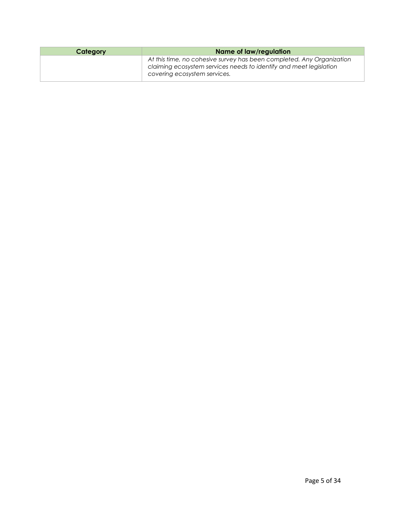| Category | Name of law/regulation                                                                                                                                                      |
|----------|-----------------------------------------------------------------------------------------------------------------------------------------------------------------------------|
|          | At this time, no cohesive survey has been completed. Any Organization<br>claiming ecosystem services needs to identify and meet legislation<br>covering ecosystem services. |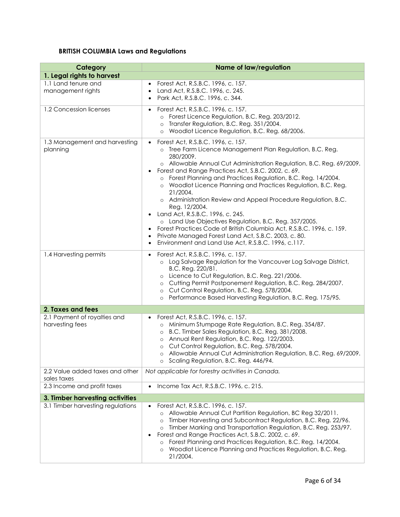## **BRITISH COLUMBIA Laws and Regulations**

| Category                                        | <b>Name of law/regulation</b>                                                                                                                                                                                                                                                                                                                                                                                                                                                                                                                                                                                                                                                                                                                                                                                                                    |
|-------------------------------------------------|--------------------------------------------------------------------------------------------------------------------------------------------------------------------------------------------------------------------------------------------------------------------------------------------------------------------------------------------------------------------------------------------------------------------------------------------------------------------------------------------------------------------------------------------------------------------------------------------------------------------------------------------------------------------------------------------------------------------------------------------------------------------------------------------------------------------------------------------------|
| 1. Legal rights to harvest                      |                                                                                                                                                                                                                                                                                                                                                                                                                                                                                                                                                                                                                                                                                                                                                                                                                                                  |
| 1.1 Land tenure and<br>management rights        | Forest Act, R.S.B.C. 1996, c. 157.<br>$\bullet$<br>Land Act, R.S.B.C. 1996, c. 245.<br>$\bullet$<br>Park Act, R.S.B.C. 1996, c. 344.<br>$\bullet$                                                                                                                                                                                                                                                                                                                                                                                                                                                                                                                                                                                                                                                                                                |
| 1.2 Concession licenses                         | Forest Act, R.S.B.C. 1996, c. 157.<br>$\bullet$<br>o Forest Licence Regulation, B.C. Reg. 203/2012.<br>Transfer Regulation, B.C. Reg. 351/2004.<br>$\circ$<br>Woodlot Licence Regulation, B.C. Reg. 68/2006.<br>$\circ$                                                                                                                                                                                                                                                                                                                                                                                                                                                                                                                                                                                                                          |
| 1.3 Management and harvesting<br>planning       | Forest Act, R.S.B.C. 1996, c. 157.<br>$\bullet$<br>o Tree Farm Licence Management Plan Regulation, B.C. Reg.<br>280/2009.<br>o Allowable Annual Cut Administration Regulation, B.C. Reg. 69/2009.<br>Forest and Range Practices Act, S.B.C. 2002, c. 69.<br>$\bullet$<br>o Forest Planning and Practices Regulation, B.C. Reg. 14/2004.<br>o Woodlot Licence Planning and Practices Regulation, B.C. Reg.<br>21/2004.<br>o Administration Review and Appeal Procedure Regulation, B.C.<br>Reg. 12/2004.<br>Land Act, R.S.B.C. 1996, c. 245.<br>$\bullet$<br>o Land Use Objectives Regulation, B.C. Reg. 357/2005.<br>Forest Practices Code of British Columbia Act, R.S.B.C. 1996, c. 159.<br>$\bullet$<br>Private Managed Forest Land Act, S.B.C. 2003, c. 80.<br>$\bullet$<br>Environment and Land Use Act, R.S.B.C. 1996, c.117.<br>$\bullet$ |
| 1.4 Harvesting permits                          | Forest Act, R.S.B.C. 1996, c. 157.<br>$\bullet$<br>o Log Salvage Regulation for the Vancouver Log Salvage District,<br>B.C. Reg. 220/81.<br>Licence to Cut Regulation, B.C. Reg. 221/2006.<br>$\circ$<br>Cutting Permit Postponement Regulation, B.C. Reg. 284/2007.<br>$\circ$<br>Cut Control Regulation, B.C. Reg. 578/2004.<br>$\circ$<br>Performance Based Harvesting Regulation, B.C. Reg. 175/95.<br>$\circ$                                                                                                                                                                                                                                                                                                                                                                                                                               |
| 2. Taxes and fees                               |                                                                                                                                                                                                                                                                                                                                                                                                                                                                                                                                                                                                                                                                                                                                                                                                                                                  |
| 2.1 Payment of royalties and<br>harvesting fees | Forest Act, R.S.B.C. 1996, c. 157.<br>o Minimum Stumpage Rate Regulation, B.C. Reg. 354/87.<br>B.C. Timber Sales Regulation, B.C. Reg. 381/2008.<br>$\circ$<br>Annual Rent Regulation, B.C. Reg. 122/2003.<br>$\circ$<br>Cut Control Regulation, B.C. Reg. 578/2004.<br>$\circ$<br>o Allowable Annual Cut Administration Regulation, B.C. Reg. 69/2009.<br>o Scaling Regulation, B.C. Reg. 446/94.                                                                                                                                                                                                                                                                                                                                                                                                                                               |
| 2.2 Value added taxes and other<br>sales taxes  | Not applicable for forestry activities in Canada.                                                                                                                                                                                                                                                                                                                                                                                                                                                                                                                                                                                                                                                                                                                                                                                                |
| 2.3 Income and profit taxes                     | Income Tax Act, R.S.B.C. 1996, c. 215.                                                                                                                                                                                                                                                                                                                                                                                                                                                                                                                                                                                                                                                                                                                                                                                                           |
| 3. Timber harvesting activities                 |                                                                                                                                                                                                                                                                                                                                                                                                                                                                                                                                                                                                                                                                                                                                                                                                                                                  |
| 3.1 Timber harvesting regulations               | Forest Act, R.S.B.C. 1996, c. 157.<br>Allowable Annual Cut Partition Regulation, BC Reg 32/2011.<br>Timber Harvesting and Subcontract Regulation, B.C. Reg. 22/96.<br>$\circ$<br>Timber Marking and Transportation Regulation, B.C. Reg. 253/97.<br>$\circ$<br>Forest and Range Practices Act, S.B.C. 2002, c. 69.<br>$\bullet$<br>Forest Planning and Practices Regulation, B.C. Reg. 14/2004.<br>$\circ$<br>Woodlot Licence Planning and Practices Regulation, B.C. Reg.<br>$\circ$<br>21/2004.                                                                                                                                                                                                                                                                                                                                                |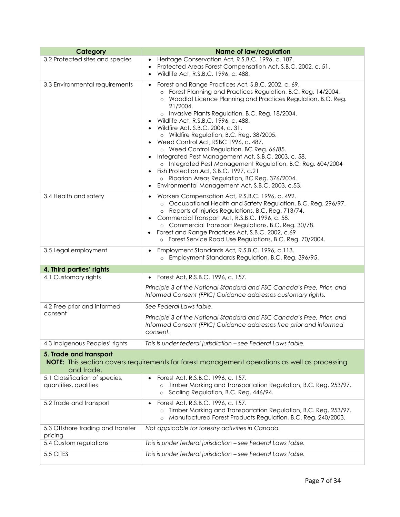| Category                                                                                                                              | <b>Name of law/regulation</b>                                                                                                                                                                                                                                                                                                                                                                                                                                                                                                                                                                                                                                                                                                                                            |  |
|---------------------------------------------------------------------------------------------------------------------------------------|--------------------------------------------------------------------------------------------------------------------------------------------------------------------------------------------------------------------------------------------------------------------------------------------------------------------------------------------------------------------------------------------------------------------------------------------------------------------------------------------------------------------------------------------------------------------------------------------------------------------------------------------------------------------------------------------------------------------------------------------------------------------------|--|
| 3.2 Protected sites and species                                                                                                       | Heritage Conservation Act, R.S.B.C. 1996, c. 187.<br>$\bullet$<br>Protected Areas Forest Compensation Act, S.B.C. 2002, c. 51.<br>Wildlife Act, R.S.B.C. 1996, c. 488.                                                                                                                                                                                                                                                                                                                                                                                                                                                                                                                                                                                                   |  |
| 3.3 Environmental requirements                                                                                                        | Forest and Range Practices Act, S.B.C. 2002, c. 69.<br>o Forest Planning and Practices Regulation, B.C. Reg. 14/2004.<br>Woodlot Licence Planning and Practices Regulation, B.C. Reg.<br>$\circ$<br>21/2004.<br>o Invasive Plants Regulation, B.C. Reg. 18/2004.<br>Wildlife Act, R.S.B.C. 1996, c. 488.<br>• Wildfire Act, S.B.C. 2004, c. 31.<br>o Wildfire Regulation, B.C. Reg. 38/2005.<br>• Weed Control Act, RSBC 1996, c. 487.<br>o Weed Control Regulation, BC Reg. 66/85.<br>• Integrated Pest Management Act, S.B.C. 2003, c. 58.<br>o Integrated Pest Management Regulation, B.C. Reg. 604/2004<br>Fish Protection Act, S.B.C. 1997, c.21<br>o Riparian Areas Regulation, BC Reg. 376/2004.<br>Environmental Management Act, S.B.C. 2003, c.53.<br>$\bullet$ |  |
| 3.4 Health and safety                                                                                                                 | • Workers Compensation Act, R.S.B.C. 1996, c. 492.<br>o Occupational Health and Safety Regulation, B.C. Reg. 296/97.<br>o Reports of Injuries Regulations, B.C. Reg. 713/74.<br>Commercial Transport Act, R.S.B.C. 1996, c. 58.<br>o Commercial Transport Regulations, B.C. Reg. 30/78.<br>Forest and Range Practices Act, S.B.C. 2002, c.69<br>o Forest Service Road Use Regulations, B.C. Reg. 70/2004.                                                                                                                                                                                                                                                                                                                                                                |  |
| 3.5 Legal employment                                                                                                                  | Employment Standards Act, R.S.B.C. 1996, c.113.<br>$\bullet$<br>Employment Standards Regulation, B.C. Reg. 396/95.<br>$\circ$                                                                                                                                                                                                                                                                                                                                                                                                                                                                                                                                                                                                                                            |  |
| 4. Third parties' rights                                                                                                              |                                                                                                                                                                                                                                                                                                                                                                                                                                                                                                                                                                                                                                                                                                                                                                          |  |
| 4.1 Customary rights                                                                                                                  | Forest Act, R.S.B.C. 1996, c. 157.                                                                                                                                                                                                                                                                                                                                                                                                                                                                                                                                                                                                                                                                                                                                       |  |
|                                                                                                                                       | Principle 3 of the National Standard and FSC Canada's Free, Prior, and<br>Informed Consent (FPIC) Guidance addresses customary rights.                                                                                                                                                                                                                                                                                                                                                                                                                                                                                                                                                                                                                                   |  |
| 4.2 Free prior and informed                                                                                                           | See Federal Laws table.                                                                                                                                                                                                                                                                                                                                                                                                                                                                                                                                                                                                                                                                                                                                                  |  |
| consent                                                                                                                               | Principle 3 of the National Standard and FSC Canada's Free, Prior, and<br>Informed Consent (FPIC) Guidance addresses free prior and informed<br>consent.                                                                                                                                                                                                                                                                                                                                                                                                                                                                                                                                                                                                                 |  |
| 4.3 Indigenous Peoples' rights                                                                                                        | This is under federal jurisdiction - see Federal Laws table.                                                                                                                                                                                                                                                                                                                                                                                                                                                                                                                                                                                                                                                                                                             |  |
| 5. Trade and transport<br>NOTE: This section covers requirements for forest management operations as well as processing<br>and trade. |                                                                                                                                                                                                                                                                                                                                                                                                                                                                                                                                                                                                                                                                                                                                                                          |  |
| 5.1 Classification of species,<br>quantities, qualities                                                                               | Forest Act, R.S.B.C. 1996, c. 157.<br>Timber Marking and Transportation Regulation, B.C. Reg. 253/97.<br>$\circ$<br>Scaling Regulation, B.C. Reg. 446/94.<br>$\circ$                                                                                                                                                                                                                                                                                                                                                                                                                                                                                                                                                                                                     |  |
| 5.2 Trade and transport                                                                                                               | Forest Act, R.S.B.C. 1996, c. 157.<br>$\bullet$<br>Timber Marking and Transportation Regulation, B.C. Reg. 253/97.<br>Manufactured Forest Products Regulation, B.C. Reg. 240/2003.<br>$\circ$                                                                                                                                                                                                                                                                                                                                                                                                                                                                                                                                                                            |  |
| 5.3 Offshore trading and transfer<br>pricing                                                                                          | Not applicable for forestry activities in Canada.                                                                                                                                                                                                                                                                                                                                                                                                                                                                                                                                                                                                                                                                                                                        |  |
| 5.4 Custom regulations                                                                                                                | This is under federal jurisdiction - see Federal Laws table.                                                                                                                                                                                                                                                                                                                                                                                                                                                                                                                                                                                                                                                                                                             |  |
| 5.5 CITES                                                                                                                             | This is under federal jurisdiction - see Federal Laws table.                                                                                                                                                                                                                                                                                                                                                                                                                                                                                                                                                                                                                                                                                                             |  |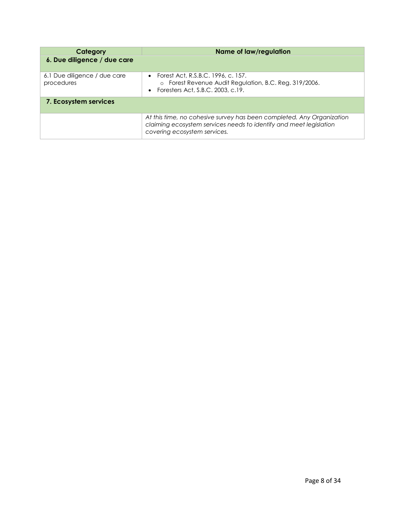| Category                                   | Name of law/regulation                                                                                                                                                      |
|--------------------------------------------|-----------------------------------------------------------------------------------------------------------------------------------------------------------------------------|
| 6. Due diligence / due care                |                                                                                                                                                                             |
| 6.1 Due diligence / due care<br>procedures | • Forest Act, R.S.B.C. 1996, c. 157.<br>o Forest Revenue Audit Regulation, B.C. Reg. 319/2006.<br>• Foresters Act, S.B.C. 2003, c.19.                                       |
| 7. Ecosystem services                      |                                                                                                                                                                             |
|                                            | At this time, no cohesive survey has been completed. Any Organization<br>claiming ecosystem services needs to identify and meet legislation<br>covering ecosystem services. |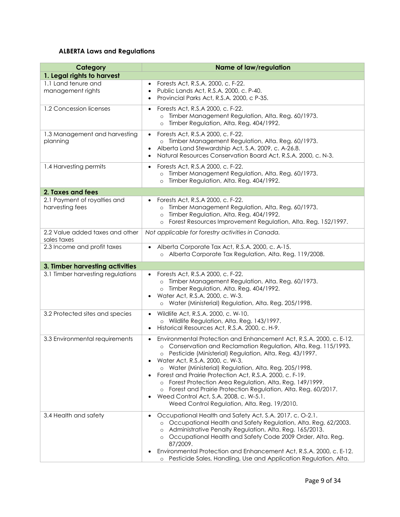## **ALBERTA Laws and Regulations**

| Category                                        | <b>Name of law/regulation</b>                                                                                                                                                                                                                                                                                                                                                                                                                                                                                                                                                                                                                     |
|-------------------------------------------------|---------------------------------------------------------------------------------------------------------------------------------------------------------------------------------------------------------------------------------------------------------------------------------------------------------------------------------------------------------------------------------------------------------------------------------------------------------------------------------------------------------------------------------------------------------------------------------------------------------------------------------------------------|
| 1. Legal rights to harvest                      |                                                                                                                                                                                                                                                                                                                                                                                                                                                                                                                                                                                                                                                   |
| 1.1 Land tenure and<br>management rights        | Forests Act, R.S.A. 2000, c. F-22.<br>Public Lands Act, R.S.A. 2000, c. P-40.<br>$\bullet$<br>Provincial Parks Act, R.S.A. 2000, c P-35.<br>$\bullet$                                                                                                                                                                                                                                                                                                                                                                                                                                                                                             |
| 1.2 Concession licenses                         | Forests Act, R.S.A 2000, c. F-22.<br>$\bullet$<br>Timber Management Regulation, Alta. Reg. 60/1973.<br>Timber Regulation, Alta. Reg. 404/1992.<br>$\circ$                                                                                                                                                                                                                                                                                                                                                                                                                                                                                         |
| 1.3 Management and harvesting<br>planning       | Forests Act, R.S.A 2000, c. F-22.<br>$\bullet$<br>Timber Management Regulation, Alta. Reg. 60/1973.<br>$\circ$<br>Alberta Land Stewardship Act, S.A. 2009, c. A-26.8.<br>$\bullet$<br>Natural Resources Conservation Board Act, R.S.A. 2000, c. N-3.                                                                                                                                                                                                                                                                                                                                                                                              |
| 1.4 Harvesting permits                          | Forests Act, R.S.A 2000, c. F-22.<br>$\bullet$<br>Timber Management Regulation, Alta. Reg. 60/1973.<br>Timber Regulation, Alta. Reg. 404/1992.<br>$\circ$                                                                                                                                                                                                                                                                                                                                                                                                                                                                                         |
| 2. Taxes and fees                               |                                                                                                                                                                                                                                                                                                                                                                                                                                                                                                                                                                                                                                                   |
| 2.1 Payment of royalties and<br>harvesting fees | Forests Act, R.S.A 2000, c. F-22.<br>Timber Management Regulation, Alta. Reg. 60/1973.<br>$\circ$<br>Timber Regulation, Alta. Reg. 404/1992.<br>$\circ$<br>Forest Resources Improvement Regulation, Alta. Reg. 152/1997.<br>$\circ$                                                                                                                                                                                                                                                                                                                                                                                                               |
| 2.2 Value added taxes and other<br>sales taxes  | Not applicable for forestry activities in Canada.                                                                                                                                                                                                                                                                                                                                                                                                                                                                                                                                                                                                 |
| 2.3 Income and profit taxes                     | Alberta Corporate Tax Act, R.S.A. 2000, c. A-15.<br>o Alberta Corporate Tax Regulation, Alta. Reg. 119/2008.                                                                                                                                                                                                                                                                                                                                                                                                                                                                                                                                      |
| 3. Timber harvesting activities                 |                                                                                                                                                                                                                                                                                                                                                                                                                                                                                                                                                                                                                                                   |
| 3.1 Timber harvesting regulations               | • Forests Act, R.S.A 2000, c. F-22.<br>Timber Management Regulation, Alta. Reg. 60/1973.<br>$\circ$<br>Timber Regulation, Alta. Reg. 404/1992.<br>$\circ$<br>Water Act, R.S.A. 2000, c. W-3.<br>Water (Ministerial) Regulation, Alta. Reg. 205/1998.<br>$\circ$                                                                                                                                                                                                                                                                                                                                                                                   |
| 3.2 Protected sites and species                 | Wildlife Act, R.S.A. 2000, c. W-10.<br>$\bullet$<br>o Wildlife Regulation, Alta. Reg. 143/1997.<br>Historical Resources Act, R.S.A. 2000, c. H-9.<br>$\bullet$                                                                                                                                                                                                                                                                                                                                                                                                                                                                                    |
| 3.3 Environmental requirements                  | Environmental Protection and Enhancement Act, R.S.A. 2000, c. E-12.<br>$\bullet$<br>o Conservation and Reclamation Regulation, Alta. Reg. 115/1993.<br>o Pesticide (Ministerial) Regulation, Alta. Reg. 43/1997.<br>Water Act, R.S.A. 2000, c. W-3.<br>$\bullet$<br>o Water (Ministerial) Regulation, Alta. Reg. 205/1998.<br>Forest and Prairie Protection Act, R.S.A. 2000, c. F-19.<br>$\bullet$<br>Forest Protection Area Regulation, Alta. Reg. 149/1999.<br>$\circ$<br>Forest and Prairie Protection Regulation, Alta. Reg. 60/2017.<br>Weed Control Act, S.A. 2008, c. W-5.1.<br>$\bullet$<br>Weed Control Regulation, Alta. Reg. 19/2010. |
| 3.4 Health and safety                           | Occupational Health and Safety Act, S.A. 2017, c. O-2.1.<br>$\bullet$<br>o Occupational Health and Safety Regulation, Alta. Reg. 62/2003.<br>Administrative Penalty Regulation, Alta. Reg. 165/2013.<br>Occupational Health and Safety Code 2009 Order, Alta. Reg.<br>$\circ$<br>87/2009.<br>Environmental Protection and Enhancement Act, R.S.A. 2000, c. E-12.<br>Pesticide Sales, Handling, Use and Application Regulation, Alta.<br>$\circ$                                                                                                                                                                                                   |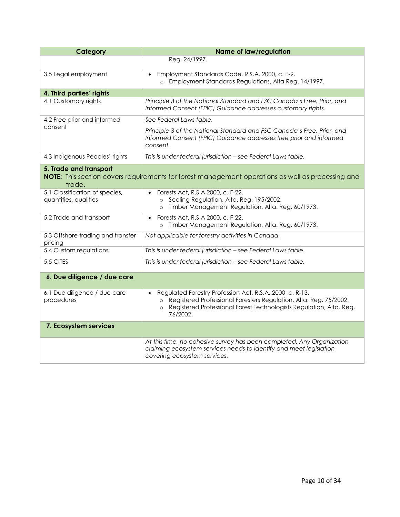| Category                                                                                                                              | <b>Name of law/regulation</b>                                                                                                                                                                                                                       |  |
|---------------------------------------------------------------------------------------------------------------------------------------|-----------------------------------------------------------------------------------------------------------------------------------------------------------------------------------------------------------------------------------------------------|--|
|                                                                                                                                       | Reg. 24/1997.                                                                                                                                                                                                                                       |  |
| 3.5 Legal employment                                                                                                                  | Employment Standards Code, R.S.A. 2000, c. E-9.<br>$\bullet$<br>o Employment Standards Regulations, Alta Reg. 14/1997.                                                                                                                              |  |
| 4. Third parties' rights                                                                                                              |                                                                                                                                                                                                                                                     |  |
| 4.1 Customary rights                                                                                                                  | Principle 3 of the National Standard and FSC Canada's Free, Prior, and<br>Informed Consent (FPIC) Guidance addresses customary rights.                                                                                                              |  |
| 4.2 Free prior and informed                                                                                                           | See Federal Laws table.                                                                                                                                                                                                                             |  |
| consent                                                                                                                               | Principle 3 of the National Standard and FSC Canada's Free, Prior, and<br>Informed Consent (FPIC) Guidance addresses free prior and informed<br>consent.                                                                                            |  |
| 4.3 Indigenous Peoples' rights                                                                                                        | This is under federal jurisdiction - see Federal Laws table.                                                                                                                                                                                        |  |
| 5. Trade and transport<br>NOTE: This section covers requirements for forest management operations as well as processing and<br>trade. |                                                                                                                                                                                                                                                     |  |
| 5.1 Classification of species,<br>quantities, qualities                                                                               | Forests Act, R.S.A 2000, c. F-22.<br>o Scaling Regulation, Alta. Reg. 195/2002.<br>Timber Management Regulation, Alta. Reg. 60/1973.<br>$\circ$                                                                                                     |  |
| 5.2 Trade and transport                                                                                                               | Forests Act, R.S.A 2000, c. F-22.<br>$\bullet$<br>Timber Management Regulation, Alta. Reg. 60/1973.<br>$\circ$                                                                                                                                      |  |
| 5.3 Offshore trading and transfer<br>pricing                                                                                          | Not applicable for forestry activities in Canada.                                                                                                                                                                                                   |  |
| 5.4 Custom regulations                                                                                                                | This is under federal jurisdiction - see Federal Laws table.                                                                                                                                                                                        |  |
| 5.5 CITES                                                                                                                             | This is under federal jurisdiction - see Federal Laws table.                                                                                                                                                                                        |  |
| 6. Due diligence / due care                                                                                                           |                                                                                                                                                                                                                                                     |  |
| 6.1 Due diligence / due care<br>procedures                                                                                            | Regulated Forestry Profession Act, R.S.A. 2000, c. R-13.<br>$\bullet$<br>Registered Professional Foresters Regulation, Alta. Reg. 75/2002.<br>$\circ$<br>Registered Professional Forest Technologists Regulation, Alta. Reg.<br>$\circ$<br>76/2002. |  |
| 7. Ecosystem services                                                                                                                 |                                                                                                                                                                                                                                                     |  |
|                                                                                                                                       | At this time, no cohesive survey has been completed. Any Organization<br>claiming ecosystem services needs to identify and meet legislation<br>covering ecosystem services.                                                                         |  |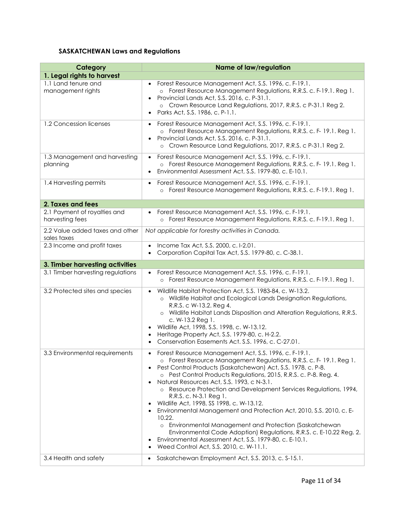## **SASKATCHEWAN Laws and Regulations**

| Category                                        | <b>Name of law/regulation</b>                                                                                                                                                                                                                                                                                                                                                                                                                                                                                                                                                                                                                                                                                                                                                                                            |
|-------------------------------------------------|--------------------------------------------------------------------------------------------------------------------------------------------------------------------------------------------------------------------------------------------------------------------------------------------------------------------------------------------------------------------------------------------------------------------------------------------------------------------------------------------------------------------------------------------------------------------------------------------------------------------------------------------------------------------------------------------------------------------------------------------------------------------------------------------------------------------------|
| 1. Legal rights to harvest                      |                                                                                                                                                                                                                                                                                                                                                                                                                                                                                                                                                                                                                                                                                                                                                                                                                          |
| 1.1 Land tenure and<br>management rights        | Forest Resource Management Act, S.S. 1996, c. F-19.1.<br>o Forest Resource Management Regulations, R.R.S. c. F-19.1. Reg 1.<br>Provincial Lands Act, S.S. 2016, c. P-31.1.<br>$\bullet$<br>o Crown Resource Land Regulations, 2017, R.R.S. c P-31.1 Reg 2.<br>Parks Act, S.S. 1986, c. P-1.1.<br>$\bullet$                                                                                                                                                                                                                                                                                                                                                                                                                                                                                                               |
| 1.2 Concession licenses                         | Forest Resource Management Act, S.S. 1996, c. F-19.1.<br>$\bullet$<br>o Forest Resource Management Regulations, R.R.S. c. F-19.1. Reg 1.<br>Provincial Lands Act, S.S. 2016, c. P-31.1.<br>$\bullet$<br>o Crown Resource Land Regulations, 2017, R.R.S. c P-31.1 Reg 2.                                                                                                                                                                                                                                                                                                                                                                                                                                                                                                                                                  |
| 1.3 Management and harvesting<br>planning       | Forest Resource Management Act, S.S. 1996, c. F-19.1.<br>$\bullet$<br>o Forest Resource Management Regulations, R.R.S. c. F-19.1. Reg 1.<br>Environmental Assessment Act, S.S. 1979-80, c. E-10.1.<br>$\bullet$                                                                                                                                                                                                                                                                                                                                                                                                                                                                                                                                                                                                          |
| 1.4 Harvesting permits                          | Forest Resource Management Act, S.S. 1996, c. F-19.1.<br>$\bullet$<br>o Forest Resource Management Regulations, R.R.S. c. F-19.1. Reg 1.                                                                                                                                                                                                                                                                                                                                                                                                                                                                                                                                                                                                                                                                                 |
| 2. Taxes and fees                               |                                                                                                                                                                                                                                                                                                                                                                                                                                                                                                                                                                                                                                                                                                                                                                                                                          |
| 2.1 Payment of royalties and<br>harvesting fees | Forest Resource Management Act, S.S. 1996, c. F-19.1.<br>o Forest Resource Management Regulations, R.R.S. c. F-19.1. Reg 1.                                                                                                                                                                                                                                                                                                                                                                                                                                                                                                                                                                                                                                                                                              |
| 2.2 Value added taxes and other<br>sales taxes  | Not applicable for forestry activities in Canada.                                                                                                                                                                                                                                                                                                                                                                                                                                                                                                                                                                                                                                                                                                                                                                        |
| 2.3 Income and profit taxes                     | Income Tax Act, S.S. 2000, c. I-2.01.<br>Corporation Capital Tax Act, S.S. 1979-80, c. C-38.1.                                                                                                                                                                                                                                                                                                                                                                                                                                                                                                                                                                                                                                                                                                                           |
| 3. Timber harvesting activities                 |                                                                                                                                                                                                                                                                                                                                                                                                                                                                                                                                                                                                                                                                                                                                                                                                                          |
| 3.1 Timber harvesting regulations               | Forest Resource Management Act, S.S. 1996, c. F-19.1.<br>o Forest Resource Management Regulations, R.R.S. c. F-19.1. Reg 1.                                                                                                                                                                                                                                                                                                                                                                                                                                                                                                                                                                                                                                                                                              |
| 3.2 Protected sites and species                 | Wildlife Habitat Protection Act, S.S. 1983-84, c. W-13.2.<br>o Wildlife Habitat and Ecological Lands Designation Regulations,<br>R.R.S. c W-13.2. Reg 4.<br>o Wildlife Habitat Lands Disposition and Alteration Regulations, R.R.S.<br>c. W-13.2 Reg 1.<br>Wildlife Act, 1998, S.S. 1998, c. W-13.12.<br>Heritage Property Act, S.S. 1979-80, c. H-2.2.<br>$\bullet$<br>Conservation Easements Act. S.S. 1996, c. C-27.01.                                                                                                                                                                                                                                                                                                                                                                                               |
| 3.3 Environmental requirements                  | • Forest Resource Management Act, S.S. 1996, c. F-19.1<br>o Forest Resource Management Regulations, R.R.S. c. F- 19.1. Reg 1.<br>Pest Control Products (Saskatchewan) Act, S.S. 1978, c. P-8.<br>$\bullet$<br>o Pest Control Products Regulations, 2015, R.R.S. c. P-8. Reg. 4.<br>Natural Resources Act, S.S. 1993, c N-3.1.<br>o Resource Protection and Development Services Regulations, 1994,<br>R.R.S. c. N-3.1 Reg 1.<br>Wildlife Act, 1998, SS 1998, c. W-13.12.<br>٠<br>Environmental Management and Protection Act, 2010, S.S. 2010, c. E-<br>٠<br>10.22.<br>Environmental Management and Protection (Saskatchewan<br>$\circ$<br>Environmental Code Adoption) Regulations, R.R.S. c. E-10.22 Reg. 2.<br>Environmental Assessment Act, S.S. 1979-80, c. E-10.1.<br>٠<br>Weed Control Act, S.S. 2010, c. W-11.1. |
| 3.4 Health and safety                           | Saskatchewan Employment Act, S.S. 2013, c. S-15.1.<br>$\bullet$                                                                                                                                                                                                                                                                                                                                                                                                                                                                                                                                                                                                                                                                                                                                                          |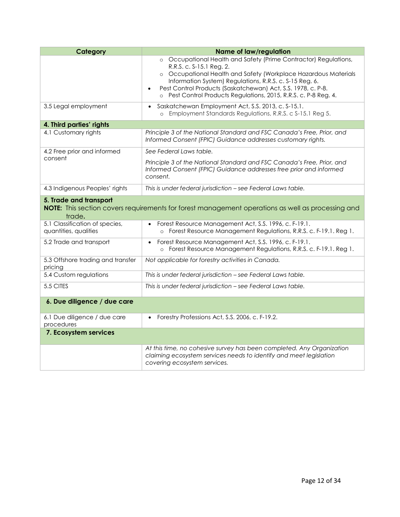| Category                                                | <b>Name of law/regulation</b>                                                                                                                                                                                                                                                                                                                                               |
|---------------------------------------------------------|-----------------------------------------------------------------------------------------------------------------------------------------------------------------------------------------------------------------------------------------------------------------------------------------------------------------------------------------------------------------------------|
|                                                         | o Occupational Health and Safety (Prime Contractor) Regulations,<br>R.R.S. c. S-15.1 Reg. 2.<br>o Occupational Health and Safety (Workplace Hazardous Materials<br>Information System) Regulations, R.R.S. c. S-15 Reg. 6.<br>Pest Control Products (Saskatchewan) Act, S.S. 1978, c. P-8.<br>$\bullet$<br>o Pest Control Products Regulations, 2015, R.R.S. c. P-8 Reg. 4. |
| 3.5 Legal employment                                    | Saskatchewan Employment Act, S.S. 2013, c. S-15.1.<br>Employment Standards Regulations, R.R.S. c S-15.1 Reg 5.<br>$\circ$                                                                                                                                                                                                                                                   |
| 4. Third parties' rights                                |                                                                                                                                                                                                                                                                                                                                                                             |
| 4.1 Customary rights                                    | Principle 3 of the National Standard and FSC Canada's Free, Prior, and<br>Informed Consent (FPIC) Guidance addresses customary rights.                                                                                                                                                                                                                                      |
| 4.2 Free prior and informed                             | See Federal Laws table.                                                                                                                                                                                                                                                                                                                                                     |
| consent                                                 | Principle 3 of the National Standard and FSC Canada's Free, Prior, and<br>Informed Consent (FPIC) Guidance addresses free prior and informed<br>consent.                                                                                                                                                                                                                    |
| 4.3 Indigenous Peoples' rights                          | This is under federal jurisdiction - see Federal Laws table.                                                                                                                                                                                                                                                                                                                |
| 5. Trade and transport<br>trade.                        | NOTE: This section covers requirements for forest management operations as well as processing and                                                                                                                                                                                                                                                                           |
| 5.1 Classification of species,<br>quantities, qualities | Forest Resource Management Act, S.S. 1996, c. F-19.1.<br>o Forest Resource Management Regulations, R.R.S. c. F-19.1. Reg 1.                                                                                                                                                                                                                                                 |
| 5.2 Trade and transport                                 | Forest Resource Management Act, S.S. 1996, c. F-19.1.<br>$\bullet$<br>o Forest Resource Management Regulations, R.R.S. c. F-19.1. Reg 1.                                                                                                                                                                                                                                    |
| 5.3 Offshore trading and transfer<br>pricing            | Not applicable for forestry activities in Canada.                                                                                                                                                                                                                                                                                                                           |
| 5.4 Custom regulations                                  | This is under federal jurisdiction - see Federal Laws table.                                                                                                                                                                                                                                                                                                                |
| 5.5 CITES                                               | This is under federal jurisdiction - see Federal Laws table.                                                                                                                                                                                                                                                                                                                |
| 6. Due diligence / due care                             |                                                                                                                                                                                                                                                                                                                                                                             |
| 6.1 Due diligence / due care<br>procedures              | Forestry Professions Act, S.S. 2006, c. F-19.2.<br>$\bullet$                                                                                                                                                                                                                                                                                                                |
| 7. Ecosystem services                                   |                                                                                                                                                                                                                                                                                                                                                                             |
|                                                         | At this time, no cohesive survey has been completed. Any Organization<br>claiming ecosystem services needs to identify and meet legislation<br>covering ecosystem services.                                                                                                                                                                                                 |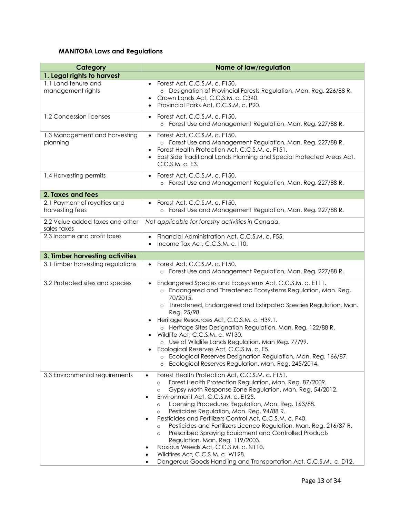## **MANITOBA Laws and Regulations**

| Category                                        | <b>Name of law/regulation</b>                                                                                                                                                                                                                                                                                                                                                                                                                                                                                                                                                                                                                                                                                                                                                                   |
|-------------------------------------------------|-------------------------------------------------------------------------------------------------------------------------------------------------------------------------------------------------------------------------------------------------------------------------------------------------------------------------------------------------------------------------------------------------------------------------------------------------------------------------------------------------------------------------------------------------------------------------------------------------------------------------------------------------------------------------------------------------------------------------------------------------------------------------------------------------|
| 1. Legal rights to harvest                      |                                                                                                                                                                                                                                                                                                                                                                                                                                                                                                                                                                                                                                                                                                                                                                                                 |
| 1.1 Land tenure and<br>management rights        | Forest Act, C.C.S.M. c. F150.<br>o Designation of Provincial Forests Regulation, Man. Reg. 226/88 R.<br>Crown Lands Act, C.C.S.M. c. C340.<br>$\bullet$<br>Provincial Parks Act, C.C.S.M. c. P20.<br>$\bullet$                                                                                                                                                                                                                                                                                                                                                                                                                                                                                                                                                                                  |
| 1.2 Concession licenses                         | Forest Act, C.C.S.M. c. F150.<br>$\bullet$<br>Forest Use and Management Regulation, Man. Reg. 227/88 R.<br>$\circ$                                                                                                                                                                                                                                                                                                                                                                                                                                                                                                                                                                                                                                                                              |
| 1.3 Management and harvesting<br>planning       | Forest Act, C.C.S.M. c. F150.<br>o Forest Use and Management Regulation, Man. Reg. 227/88 R.<br>Forest Health Protection Act, C.C.S.M. c. F151.<br>$\bullet$<br>East Side Traditional Lands Planning and Special Protected Areas Act,<br>$\bullet$<br>C.C.S.M. c. E3.                                                                                                                                                                                                                                                                                                                                                                                                                                                                                                                           |
| 1.4 Harvesting permits                          | Forest Act, C.C.S.M. c. F150.<br>$\bullet$<br>o Forest Use and Management Regulation, Man. Reg. 227/88 R.                                                                                                                                                                                                                                                                                                                                                                                                                                                                                                                                                                                                                                                                                       |
| 2. Taxes and fees                               |                                                                                                                                                                                                                                                                                                                                                                                                                                                                                                                                                                                                                                                                                                                                                                                                 |
| 2.1 Payment of royalties and<br>harvesting fees | Forest Act, C.C.S.M. c. F150.<br>Forest Use and Management Regulation, Man. Reg. 227/88 R.<br>$\circ$                                                                                                                                                                                                                                                                                                                                                                                                                                                                                                                                                                                                                                                                                           |
| 2.2 Value added taxes and other<br>sales taxes  | Not applicable for forestry activities in Canada.                                                                                                                                                                                                                                                                                                                                                                                                                                                                                                                                                                                                                                                                                                                                               |
| 2.3 Income and profit taxes                     | Financial Administration Act, C.C.S.M. c. F55.<br>$\bullet$<br>Income Tax Act, C.C.S.M. c. I10.<br>$\bullet$                                                                                                                                                                                                                                                                                                                                                                                                                                                                                                                                                                                                                                                                                    |
| 3. Timber harvesting activities                 |                                                                                                                                                                                                                                                                                                                                                                                                                                                                                                                                                                                                                                                                                                                                                                                                 |
| 3.1 Timber harvesting regulations               | Forest Act, C.C.S.M. c. F150.<br>o Forest Use and Management Regulation, Man. Reg. 227/88 R.                                                                                                                                                                                                                                                                                                                                                                                                                                                                                                                                                                                                                                                                                                    |
| 3.2 Protected sites and species                 | Endangered Species and Ecosystems Act, C.C.S.M. c. E111.<br>$\bullet$<br>Endangered and Threatened Ecosystems Regulation, Man. Reg.<br>$\circ$<br>70/2015.<br>o Threatened, Endangered and Extirpated Species Regulation, Man.<br>Reg. 25/98.<br>Heritage Resources Act, C.C.S.M. c. H39.1.<br>$\bullet$<br>o Heritage Sites Designation Regulation, Man. Reg. 122/88 R.<br>Wildlife Act, C.C.S.M. c. W130.<br>o Use of Wildlife Lands Regulation, Man Reg. 77/99.<br>Ecological Reserves Act, C.C.S.M. c. E5.<br>Ecological Reserves Designation Regulation, Man. Reg. 166/87.<br>Ecological Reserves Regulation, Man. Reg. 245/2014.<br>$\circ$                                                                                                                                               |
| 3.3 Environmental requirements                  | Forest Health Protection Act, C.C.S.M. c. F151.<br>$\bullet$<br>Forest Health Protection Regulation, Man. Reg. 87/2009.<br>$\circ$<br>Gypsy Moth Response Zone Regulation, Man. Reg. 54/2012.<br>$\circ$<br>Environment Act, C.C.S.M. c. E125.<br>$\bullet$<br>Licensing Procedures Regulation, Man. Reg. 163/88.<br>$\circ$<br>Pesticides Regulation, Man. Reg. 94/88 R.<br>$\circ$<br>Pesticides and Fertilizers Control Act, C.C.S.M. c. P40.<br>Pesticides and Fertilizers Licence Regulation, Man. Reg. 216/87 R.<br>$\circ$<br>Prescribed Spraying Equipment and Controlled Products<br>$\circ$<br>Regulation, Man. Reg. 119/2003.<br>Noxious Weeds Act, C.C.S.M. c. N110.<br>Wildfires Act, C.C.S.M. c. W128.<br>٠<br>Dangerous Goods Handling and Transportation Act, C.C.S.M., c. D12. |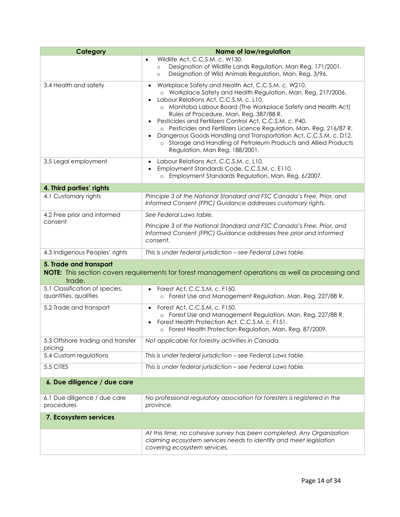| Category                                                | <b>Name of law/regulation</b>                                                                                                                                                                                                                                                                                                                                                                                                                                                                                                                                                            |
|---------------------------------------------------------|------------------------------------------------------------------------------------------------------------------------------------------------------------------------------------------------------------------------------------------------------------------------------------------------------------------------------------------------------------------------------------------------------------------------------------------------------------------------------------------------------------------------------------------------------------------------------------------|
|                                                         | Wildlife Act, C.C.S.M. c. W130.<br>$\bullet$<br>Designation of Wildlife Lands Regulation, Man Reg. 171/2001.<br>$\circ$<br>Designation of Wild Animals Regulation, Man. Reg. 3/96.<br>$\circ$                                                                                                                                                                                                                                                                                                                                                                                            |
| 3.4 Health and safety                                   | Workplace Safety and Health Act, C.C.S.M. c. W210.<br>o Workplace Safety and Health Regulation, Man. Reg. 217/2006.<br>Labour Relations Act, C.C.S.M. c. L10.<br>o Manitoba Labour Board (The Workplace Safety and Health Act)<br>Rules of Procedure, Man. Reg. 387/88 R.<br>Pesticides and Fertilizers Control Act, C.C.S.M. c. P40.<br>o Pesticides and Fertilizers Licence Regulation, Man. Reg. 216/87 R.<br>Dangerous Goods Handling and Transportation Act, C.C.S.M. c. D12.<br>o Storage and Handling of Petroleum Products and Allied Products<br>Regulation, Man Reg. 188/2001. |
| 3.5 Legal employment                                    | Labour Relations Act, C.C.S.M. c. L10.<br>Employment Standards Code, C.C.S.M. c. E110.<br>o Employment Standards Regulation, Man. Reg. 6/2007.                                                                                                                                                                                                                                                                                                                                                                                                                                           |
| 4. Third parties' rights                                |                                                                                                                                                                                                                                                                                                                                                                                                                                                                                                                                                                                          |
| 4.1 Customary rights                                    | Principle 3 of the National Standard and FSC Canada's Free, Prior, and<br>Informed Consent (FPIC) Guidance addresses customary rights.                                                                                                                                                                                                                                                                                                                                                                                                                                                   |
| 4.2 Free prior and informed                             | See Federal Laws table.                                                                                                                                                                                                                                                                                                                                                                                                                                                                                                                                                                  |
| consent                                                 | Principle 3 of the National Standard and FSC Canada's Free, Prior, and<br>Informed Consent (FPIC) Guidance addresses free prior and informed<br>consent.                                                                                                                                                                                                                                                                                                                                                                                                                                 |
| 4.3 Indigenous Peoples' rights                          | This is under federal jurisdiction - see Federal Laws table.                                                                                                                                                                                                                                                                                                                                                                                                                                                                                                                             |
| 5. Trade and transport<br>trade.                        | NOTE: This section covers requirements for forest management operations as well as processing and                                                                                                                                                                                                                                                                                                                                                                                                                                                                                        |
| 5.1 Classification of species,<br>quantities, qualities | Forest Act, C.C.S.M. c. F150.<br>o Forest Use and Management Regulation, Man. Reg. 227/88 R.                                                                                                                                                                                                                                                                                                                                                                                                                                                                                             |
| 5.2 Trade and transport                                 | Forest Act, C.C.S.M. c. F150.<br>$\bullet$<br>o Forest Use and Management Regulation, Man. Reg. 227/88 R.<br>Forest Health Protection Act, C.C.S.M. c. F151.<br>o Forest Health Protection Regulation, Man. Reg. 87/2009.                                                                                                                                                                                                                                                                                                                                                                |
| 5.3 Offshore trading and transfer<br>pricing            | Not applicable for forestry activities in Canada.                                                                                                                                                                                                                                                                                                                                                                                                                                                                                                                                        |
| 5.4 Custom regulations                                  | This is under federal jurisdiction - see Federal Laws table.                                                                                                                                                                                                                                                                                                                                                                                                                                                                                                                             |
| 5.5 CITES                                               | This is under federal jurisdiction - see Federal Laws table.                                                                                                                                                                                                                                                                                                                                                                                                                                                                                                                             |
| 6. Due diligence / due care                             |                                                                                                                                                                                                                                                                                                                                                                                                                                                                                                                                                                                          |
| 6.1 Due diligence / due care<br>procedures              | No professional regulatory association for foresters is registered in the<br>province.                                                                                                                                                                                                                                                                                                                                                                                                                                                                                                   |
| 7. Ecosystem services                                   |                                                                                                                                                                                                                                                                                                                                                                                                                                                                                                                                                                                          |
|                                                         | At this time, no cohesive survey has been completed. Any Organization<br>claiming ecosystem services needs to identify and meet legislation<br>covering ecosystem services.                                                                                                                                                                                                                                                                                                                                                                                                              |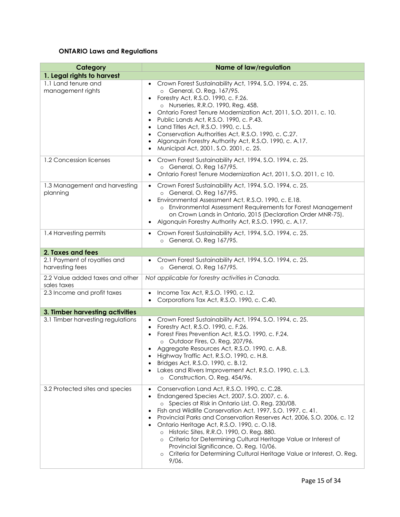## **ONTARIO Laws and Regulations**

| Category                                        | <b>Name of law/regulation</b>                                                                                                                                                                                                                                                                                                                                                                                                                                                                                                                                                                                                                                         |
|-------------------------------------------------|-----------------------------------------------------------------------------------------------------------------------------------------------------------------------------------------------------------------------------------------------------------------------------------------------------------------------------------------------------------------------------------------------------------------------------------------------------------------------------------------------------------------------------------------------------------------------------------------------------------------------------------------------------------------------|
| 1. Legal rights to harvest                      |                                                                                                                                                                                                                                                                                                                                                                                                                                                                                                                                                                                                                                                                       |
| 1.1 Land tenure and<br>management rights        | Crown Forest Sustainability Act, 1994, S.O. 1994, c. 25.<br>o General, O. Reg. 167/95.<br>Forestry Act, R.S.O. 1990, c. F.26.<br>$\bullet$<br>o Nurseries, R.R.O. 1990, Reg. 458.<br>Ontario Forest Tenure Modernization Act, 2011, S.O. 2011, c. 10.<br>$\bullet$<br>Public Lands Act, R.S.O. 1990, c. P.43.<br>$\bullet$<br>Land Titles Act, R.S.O. 1990, c. L.5.<br>$\bullet$<br>Conservation Authorities Act, R.S.O. 1990, c. C.27.<br>$\bullet$<br>Algonquin Forestry Authority Act, R.S.O. 1990, c. A.17.<br>$\bullet$<br>Municipal Act, 2001, S.O. 2001, c. 25.<br>$\bullet$                                                                                   |
| 1.2 Concession licenses                         | Crown Forest Sustainability Act, 1994, S.O. 1994, c. 25.<br>$\bullet$<br>o General, O. Reg 167/95.<br>Ontario Forest Tenure Modernization Act, 2011, S.O. 2011, c 10.                                                                                                                                                                                                                                                                                                                                                                                                                                                                                                 |
| 1.3 Management and harvesting<br>planning       | Crown Forest Sustainability Act, 1994, S.O. 1994, c. 25.<br>o General, O. Reg 167/95.<br>Environmental Assessment Act, R.S.O. 1990, c. E.18.<br>$\bullet$<br>Environmental Assessment Requirements for Forest Management<br>$\circ$<br>on Crown Lands in Ontario, 2015 (Declaration Order MNR-75).<br>Algonquin Forestry Authority Act, R.S.O. 1990, c. A.17.<br>$\bullet$                                                                                                                                                                                                                                                                                            |
| 1.4 Harvesting permits                          | Crown Forest Sustainability Act, 1994, S.O. 1994, c. 25.<br>$\bullet$<br>o General, O. Reg 167/95.                                                                                                                                                                                                                                                                                                                                                                                                                                                                                                                                                                    |
| 2. Taxes and fees                               |                                                                                                                                                                                                                                                                                                                                                                                                                                                                                                                                                                                                                                                                       |
| 2.1 Payment of royalties and<br>harvesting fees | Crown Forest Sustainability Act, 1994, S.O. 1994, c. 25.<br>o General, O. Reg 167/95.                                                                                                                                                                                                                                                                                                                                                                                                                                                                                                                                                                                 |
| 2.2 Value added taxes and other<br>sales taxes  | Not applicable for forestry activities in Canada.                                                                                                                                                                                                                                                                                                                                                                                                                                                                                                                                                                                                                     |
| 2.3 Income and profit taxes                     | Income Tax Act, R.S.O. 1990, c. I.2.<br>$\bullet$<br>Corporations Tax Act, R.S.O. 1990, c. C.40.                                                                                                                                                                                                                                                                                                                                                                                                                                                                                                                                                                      |
| 3. Timber harvesting activities                 |                                                                                                                                                                                                                                                                                                                                                                                                                                                                                                                                                                                                                                                                       |
| 3.1 Timber harvesting regulations               | Crown Forest Sustainability Act, 1994, S.O. 1994, c. 25.<br>Forestry Act, R.S.O. 1990, c. F.26.<br>$\bullet$<br>Forest Fires Prevention Act, R.S.O. 1990, c. F.24.<br>$\bullet$<br>o Outdoor Fires, O. Reg. 207/96.<br>Aggregate Resources Act, R.S.O. 1990, c. A.8.<br>$\bullet$<br>Highway Traffic Act, R.S.O. 1990, c. H.8.<br>Bridges Act, R.S.O. 1990, c. B.12.<br>Lakes and Rivers Improvement Act, R.S.O. 1990, c. L.3.<br>o Construction, O. Reg. 454/96.                                                                                                                                                                                                     |
| 3.2 Protected sites and species                 | Conservation Land Act, R.S.O. 1990, c. C.28.<br>$\bullet$<br>Endangered Species Act, 2007, S.O. 2007, c. 6.<br>$\bullet$<br>o Species at Risk in Ontario List, O. Reg. 230/08.<br>Fish and Wildlife Conservation Act, 1997, S.O. 1997, c. 41.<br>$\bullet$<br>Provincial Parks and Conservation Reserves Act, 2006, S.O. 2006, c. 12<br>$\bullet$<br>Ontario Heritage Act, R.S.O. 1990, c. O.18.<br>Historic Sites, R.R.O. 1990, O. Reg. 880.<br>$\circ$<br>Criteria for Determining Cultural Heritage Value or Interest of<br>$\circ$<br>Provincial Significance, O. Reg. 10/06.<br>o Criteria for Determining Cultural Heritage Value or Interest, O. Reg.<br>9/06. |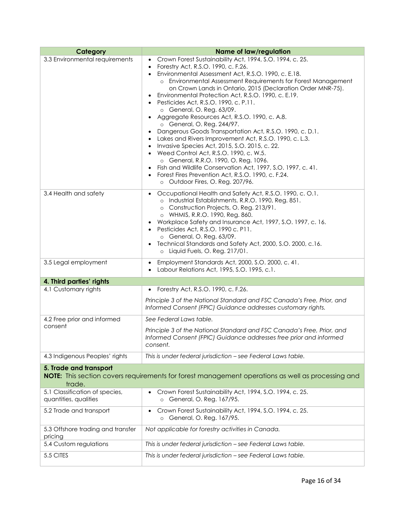| Category                                                                                                                              | <b>Name of law/regulation</b>                                                                                                                                                                                                                                                                                                                                                                                                                                                                                                                                                                                                                                                                                                                                                                                                                                                                                                                                    |
|---------------------------------------------------------------------------------------------------------------------------------------|------------------------------------------------------------------------------------------------------------------------------------------------------------------------------------------------------------------------------------------------------------------------------------------------------------------------------------------------------------------------------------------------------------------------------------------------------------------------------------------------------------------------------------------------------------------------------------------------------------------------------------------------------------------------------------------------------------------------------------------------------------------------------------------------------------------------------------------------------------------------------------------------------------------------------------------------------------------|
| 3.3 Environmental requirements                                                                                                        | Crown Forest Sustainability Act, 1994, S.O. 1994, c. 25.<br>Forestry Act, R.S.O. 1990, c. F.26.<br>٠<br>Environmental Assessment Act, R.S.O. 1990, c. E.18.<br>o Environmental Assessment Requirements for Forest Management<br>on Crown Lands in Ontario, 2015 (Declaration Order MNR-75).<br>Environmental Protection Act, R.S.O. 1990, c. E.19.<br>Pesticides Act, R.S.O. 1990, c. P.11.<br>o General, O. Reg. 63/09.<br>Aggregate Resources Act, R.S.O. 1990, c. A.8.<br>o General, O. Reg. 244/97.<br>Dangerous Goods Transportation Act, R.S.O. 1990, c.D.1.<br>Lakes and Rivers Improvement Act, R.S.O. 1990, c. L.3.<br>$\bullet$<br>Invasive Species Act, 2015, S.O. 2015, c. 22.<br>Weed Control Act, R.S.O. 1990, c. W.5.<br>$\bullet$<br>o General, R.R.O. 1990, O. Reg. 1096.<br>Fish and Wildlife Conservation Act, 1997, S.O. 1997, c. 41.<br>Forest Fires Prevention Act, R.S.O. 1990, c. F.24.<br>$\bullet$<br>o Outdoor Fires, O. Reg. 207/96. |
| 3.4 Health and safety                                                                                                                 | Occupational Health and Safety Act, R.S.O. 1990, c. O.1.<br>$\bullet$<br>o Industrial Establishments, R.R.O. 1990, Reg. 851.<br>o Construction Projects, O. Reg. 213/91.<br>o WHMIS, R.R.O. 1990, Reg. 860.<br>Workplace Safety and Insurance Act, 1997, S.O. 1997, c. 16.<br>Pesticides Act, R.S.O. 1990 c. P11.<br>$\bullet$<br>o General, O. Reg. 63/09.<br>Technical Standards and Safety Act, 2000, S.O. 2000, c.16.<br>$\bullet$<br>o Liquid Fuels, O. Reg. 217/01.                                                                                                                                                                                                                                                                                                                                                                                                                                                                                        |
| 3.5 Legal employment                                                                                                                  | Employment Standards Act, 2000, S.O. 2000, c. 41.<br>$\bullet$<br>Labour Relations Act, 1995, S.O. 1995, c.1.                                                                                                                                                                                                                                                                                                                                                                                                                                                                                                                                                                                                                                                                                                                                                                                                                                                    |
| 4. Third parties' rights                                                                                                              |                                                                                                                                                                                                                                                                                                                                                                                                                                                                                                                                                                                                                                                                                                                                                                                                                                                                                                                                                                  |
| 4.1 Customary rights                                                                                                                  | Forestry Act, R.S.O. 1990, c. F.26.<br>$\bullet$                                                                                                                                                                                                                                                                                                                                                                                                                                                                                                                                                                                                                                                                                                                                                                                                                                                                                                                 |
|                                                                                                                                       | Principle 3 of the National Standard and FSC Canada's Free, Prior, and<br>Informed Consent (FPIC) Guidance addresses customary rights.                                                                                                                                                                                                                                                                                                                                                                                                                                                                                                                                                                                                                                                                                                                                                                                                                           |
| 4.2 Free prior and informed                                                                                                           | See Federal Laws table.                                                                                                                                                                                                                                                                                                                                                                                                                                                                                                                                                                                                                                                                                                                                                                                                                                                                                                                                          |
| consent                                                                                                                               | Principle 3 of the National Standard and FSC Canada's Free, Prior, and<br>Informed Consent (FPIC) Guidance addresses free prior and informed<br>consent.                                                                                                                                                                                                                                                                                                                                                                                                                                                                                                                                                                                                                                                                                                                                                                                                         |
| 4.3 Indigenous Peoples' rights                                                                                                        | This is under federal jurisdiction - see Federal Laws table.                                                                                                                                                                                                                                                                                                                                                                                                                                                                                                                                                                                                                                                                                                                                                                                                                                                                                                     |
| 5. Trade and transport<br>NOTE: This section covers requirements for forest management operations as well as processing and<br>trade. |                                                                                                                                                                                                                                                                                                                                                                                                                                                                                                                                                                                                                                                                                                                                                                                                                                                                                                                                                                  |
| 5.1 Classification of species,<br>quantities, qualities                                                                               | Crown Forest Sustainability Act, 1994, S.O. 1994, c. 25.<br>General, O. Reg. 167/95.<br>$\circ$                                                                                                                                                                                                                                                                                                                                                                                                                                                                                                                                                                                                                                                                                                                                                                                                                                                                  |
| 5.2 Trade and transport                                                                                                               | Crown Forest Sustainability Act, 1994, S.O. 1994, c. 25.<br>o General, O. Reg. 167/95.                                                                                                                                                                                                                                                                                                                                                                                                                                                                                                                                                                                                                                                                                                                                                                                                                                                                           |
| 5.3 Offshore trading and transfer<br>pricing                                                                                          | Not applicable for forestry activities in Canada.                                                                                                                                                                                                                                                                                                                                                                                                                                                                                                                                                                                                                                                                                                                                                                                                                                                                                                                |
| 5.4 Custom regulations                                                                                                                | This is under federal jurisdiction - see Federal Laws table.                                                                                                                                                                                                                                                                                                                                                                                                                                                                                                                                                                                                                                                                                                                                                                                                                                                                                                     |
| 5.5 CITES                                                                                                                             | This is under federal jurisdiction - see Federal Laws table.                                                                                                                                                                                                                                                                                                                                                                                                                                                                                                                                                                                                                                                                                                                                                                                                                                                                                                     |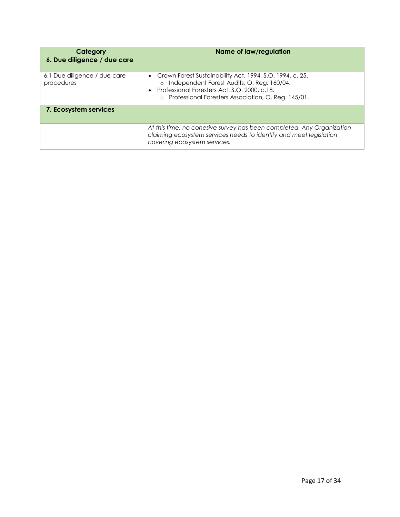| Category                                   | <b>Name of law/regulation</b>                                                                                                                                                                                                  |
|--------------------------------------------|--------------------------------------------------------------------------------------------------------------------------------------------------------------------------------------------------------------------------------|
| 6. Due diligence / due care                |                                                                                                                                                                                                                                |
| 6.1 Due diligence / due care<br>procedures | • Crown Forest Sustainability Act, 1994, S.O. 1994, c. 25.<br>Independent Forest Audits, O. Reg. 160/04.<br>$\circ$<br>• Professional Foresters Act, S.O. 2000, c.18.<br>o Professional Foresters Association, O. Reg. 145/01. |
| 7. Ecosystem services                      |                                                                                                                                                                                                                                |
|                                            | At this time, no cohesive survey has been completed. Any Organization<br>claiming ecosystem services needs to identify and meet legislation<br>covering ecosystem services.                                                    |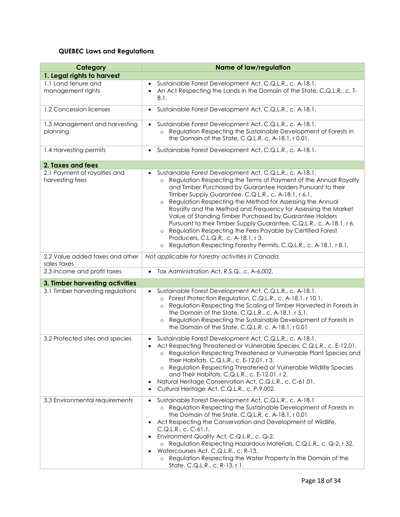## **QUEBEC Laws and Regulations**

| Category                                        | <b>Name of law/regulation</b>                                                                                                                                                                                                                                                                                                                                                                                                                                                                                                                                                                                                                                                                                                      |
|-------------------------------------------------|------------------------------------------------------------------------------------------------------------------------------------------------------------------------------------------------------------------------------------------------------------------------------------------------------------------------------------------------------------------------------------------------------------------------------------------------------------------------------------------------------------------------------------------------------------------------------------------------------------------------------------------------------------------------------------------------------------------------------------|
| 1. Legal rights to harvest                      |                                                                                                                                                                                                                                                                                                                                                                                                                                                                                                                                                                                                                                                                                                                                    |
| 1.1 Land tenure and<br>management rights        | Sustainable Forest Development Act, C.Q.L.R., c. A-18.1.<br>An Act Respecting the Lands in the Domain of the State, C.Q.L.R., c. T-<br>$\bullet$<br>8.1.                                                                                                                                                                                                                                                                                                                                                                                                                                                                                                                                                                           |
| 1.2 Concession licenses                         | Sustainable Forest Development Act, C.Q.L.R., c. A-18.1.<br>$\bullet$                                                                                                                                                                                                                                                                                                                                                                                                                                                                                                                                                                                                                                                              |
| 1.3 Management and harvesting<br>planning       | Sustainable Forest Development Act, C.Q.L.R., c. A-18.1.<br>Regulation Respecting the Sustainable Development of Forests in<br>$\circ$<br>the Domain of the State, C.Q.L.R, c. A-18.1, r 0.01.                                                                                                                                                                                                                                                                                                                                                                                                                                                                                                                                     |
| 1.4 Harvesting permits                          | Sustainable Forest Development Act, C.Q.L.R., c. A-18.1.<br>$\bullet$                                                                                                                                                                                                                                                                                                                                                                                                                                                                                                                                                                                                                                                              |
| 2. Taxes and fees                               |                                                                                                                                                                                                                                                                                                                                                                                                                                                                                                                                                                                                                                                                                                                                    |
| 2.1 Payment of royalties and<br>harvesting fees | Sustainable Forest Development Act, C.Q.L.R., c. A-18.1.<br>Regulation Respecting the Terms of Payment of the Annual Royalty<br>$\circ$<br>and Timber Purchased by Guarantee Holders Pursuant to their<br>Timber Supply Guarantee, C.Q.L.R., c. A-18.1, r 6.1.<br>Regulation Respecting the Method for Assessing the Annual<br>$\circ$<br>Royalty and the Method and Frequency for Assessing the Market<br>Value of Standing Timber Purchased by Guarantee Holders<br>Pursuant to their Timber Supply Guarantee, C.Q.L.R., c. A-18.1, r 6.<br>Regulation Respecting the Fees Payable by Certified Forest<br>Producers, C.L.Q.R., c. A-18.1, r 3.<br>Regulation Respecting Forestry Permits, C.Q.L.R., c. A-18.1, r 8.1.<br>$\circ$ |
| 2.2 Value added taxes and other<br>sales taxes  | Not applicable for forestry activities in Canada.                                                                                                                                                                                                                                                                                                                                                                                                                                                                                                                                                                                                                                                                                  |
| 2.3 Income and profit taxes                     | Tax Administration Act, R.S.Q., c. A-6.002.<br>$\bullet$                                                                                                                                                                                                                                                                                                                                                                                                                                                                                                                                                                                                                                                                           |
| 3. Timber harvesting activities                 |                                                                                                                                                                                                                                                                                                                                                                                                                                                                                                                                                                                                                                                                                                                                    |
| 3.1 Timber harvesting regulations               | Sustainable Forest Development Act, C.Q.L.R., c. A-18.1.<br>$\bullet$<br>Forest Protection Regulation, C.Q.L.R., c. A-18.1, r 10.1.<br>$\circ$<br>Regulation Respecting the Scaling of Timber Harvested in Forests in<br>$\circ$<br>the Domain of the State, C.Q.L.R., c. A-18.1, r 5.1.<br>Regulation Respecting the Sustainable Development of Forests in<br>$\circ$<br>the Domain of the State, C.Q.L.R, c. A-18.1, r 0.01                                                                                                                                                                                                                                                                                                      |
| 3.2 Protected sites and species                 | Sustainable Forest Development Act, C.Q.L.R., c. A-18.1.<br>$\bullet$<br>Act Respecting Threatened or Vulnerable Species, C.Q.L.R., c. E-12.01.<br>$\bullet$<br>o Regulation Respecting Threatened or Vulnerable Plant Species and<br>their Habitats, C.Q.L.R., c. E-12.01, r 3.<br>Regulation Respecting Threatened or Vulnerable Wildlife Species<br>$\circ$<br>and Their Habitats, C.Q.L.R., c. E-12.01, r 2.<br>Natural Heritage Conservation Act, C.Q.L.R., c. C-61.01.<br>$\bullet$<br>Cultural Heritage Act, C.Q.L.R., c. P-9.002.<br>$\bullet$                                                                                                                                                                             |
| 3.3 Environmental requirements                  | Sustainable Forest Development Act, C.Q.L.R., c. A-18.1<br>$\bullet$<br>o Regulation Respecting the Sustainable Development of Forests in<br>the Domain of the State, C.Q.L.R, c. A-18.1, r 0.01<br>Act Respecting the Conservation and Development of Wildlife,<br>$\bullet$<br>C.Q.L.R., c. C-61.1.<br>Environment Quality Act, C.Q.L.R., c. Q-2.<br>o Regulation Respecting Hazardous Materials, C.Q.L.R., c. Q-2, r 32.<br>Watercourses Act, C.Q.L.R., c. R-13.<br>Regulation Respecting the Water Property in the Domain of the<br>$\circ$<br>State, C.Q.L.R., c. R-13, r 1.                                                                                                                                                  |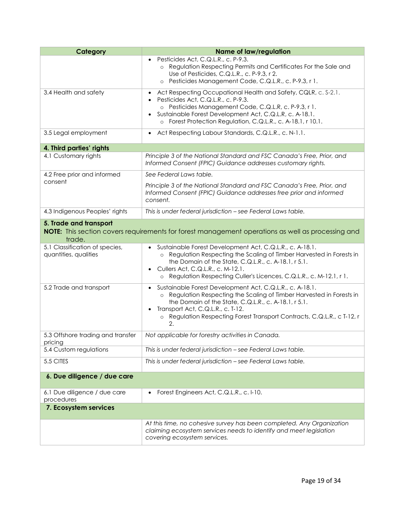| Category                                                | <b>Name of law/regulation</b>                                                                                                                                                                                                                                                                                                             |
|---------------------------------------------------------|-------------------------------------------------------------------------------------------------------------------------------------------------------------------------------------------------------------------------------------------------------------------------------------------------------------------------------------------|
|                                                         | Pesticides Act, C.Q.L.R., c. P-9.3.<br>$\bullet$<br>o Regulation Respecting Permits and Certificates For the Sale and<br>Use of Pesticides, C.Q.L.R., c. P-9.3, r 2.<br>Pesticides Management Code, C.Q.L.R., c. P-9.3, r 1.<br>$\circ$                                                                                                   |
| 3.4 Health and safety                                   | Act Respecting Occupational Health and Safety, CQLR, c. S-2.1.<br>$\bullet$<br>Pesticides Act, C.Q.L.R., c. P-9.3.<br>$\bullet$<br>o Pesticides Management Code, C.Q.L.R, c. P-9.3, r 1.<br>Sustainable Forest Development Act, C.Q.L.R, c. A-18.1.<br>$\bullet$<br>o Forest Protection Regulation, C.Q.L.R., c. A-18.1, r 10.1.          |
| 3.5 Legal employment                                    | Act Respecting Labour Standards, C.Q.L.R., c. N-1.1.<br>$\bullet$                                                                                                                                                                                                                                                                         |
| 4. Third parties' rights                                |                                                                                                                                                                                                                                                                                                                                           |
| 4.1 Customary rights                                    | Principle 3 of the National Standard and FSC Canada's Free, Prior, and<br>Informed Consent (FPIC) Guidance addresses customary rights.                                                                                                                                                                                                    |
| 4.2 Free prior and informed                             | See Federal Laws table.                                                                                                                                                                                                                                                                                                                   |
| consent                                                 | Principle 3 of the National Standard and FSC Canada's Free, Prior, and<br>Informed Consent (FPIC) Guidance addresses free prior and informed<br>consent.                                                                                                                                                                                  |
| 4.3 Indigenous Peoples' rights                          | This is under federal jurisdiction - see Federal Laws table.                                                                                                                                                                                                                                                                              |
| 5. Trade and transport<br>trade.                        | <b>NOTE:</b> This section covers requirements for forest management operations as well as processing and                                                                                                                                                                                                                                  |
| 5.1 Classification of species,<br>quantities, qualities | Sustainable Forest Development Act, C.Q.L.R., c. A-18.1.<br>o Regulation Respecting the Scaling of Timber Harvested in Forests in<br>the Domain of the State, C.Q.L.R., c. A-18.1, r 5.1.<br>Cullers Act, C.Q.L.R., c. M-12.1.<br>o Regulation Respecting Culler's Licences, C.Q.L.R., c. M-12.1, r 1.                                    |
| 5.2 Trade and transport                                 | Sustainable Forest Development Act, C.Q.L.R., c. A-18.1.<br>$\bullet$<br>o Regulation Respecting the Scaling of Timber Harvested in Forests in<br>the Domain of the State, C.Q.L.R., c. A-18.1, r 5.1.<br>Transport Act, C.Q.L.R., c. T-12.<br>$\bullet$<br>o Regulation Respecting Forest Transport Contracts, C.Q.L.R., c T-12, r<br>2. |
| 5.3 Offshore trading and transfer<br>pricing            | Not applicable for forestry activities in Canada.                                                                                                                                                                                                                                                                                         |
| 5.4 Custom regulations                                  | This is under federal jurisdiction - see Federal Laws table.                                                                                                                                                                                                                                                                              |
| 5.5 CITES                                               | This is under federal jurisdiction - see Federal Laws table.                                                                                                                                                                                                                                                                              |
| 6. Due diligence / due care                             |                                                                                                                                                                                                                                                                                                                                           |
| 6.1 Due diligence / due care<br>procedures              | Forest Engineers Act, C.Q.L.R., c. I-10.<br>$\bullet$                                                                                                                                                                                                                                                                                     |
| 7. Ecosystem services                                   |                                                                                                                                                                                                                                                                                                                                           |
|                                                         | At this time, no cohesive survey has been completed. Any Organization<br>claiming ecosystem services needs to identify and meet legislation<br>covering ecosystem services.                                                                                                                                                               |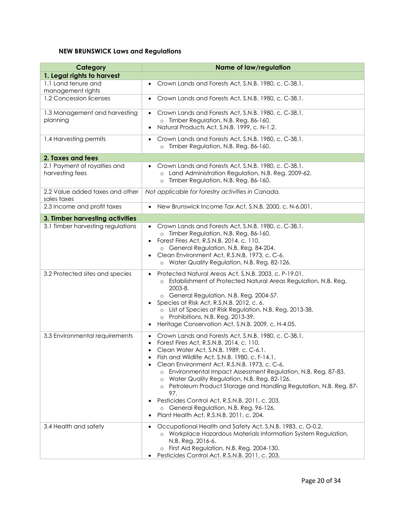## **NEW BRUNSWICK Laws and Regulations**

| Category                                        | <b>Name of law/regulation</b>                                                                                                                                                                                                                                                                                                                                                                                                                                                                                                                                                                                                                                      |
|-------------------------------------------------|--------------------------------------------------------------------------------------------------------------------------------------------------------------------------------------------------------------------------------------------------------------------------------------------------------------------------------------------------------------------------------------------------------------------------------------------------------------------------------------------------------------------------------------------------------------------------------------------------------------------------------------------------------------------|
| 1. Legal rights to harvest                      |                                                                                                                                                                                                                                                                                                                                                                                                                                                                                                                                                                                                                                                                    |
| 1.1 Land tenure and<br>management rights        | Crown Lands and Forests Act, S.N.B. 1980, c. C-38.1.<br>$\bullet$                                                                                                                                                                                                                                                                                                                                                                                                                                                                                                                                                                                                  |
| 1.2 Concession licenses                         | Crown Lands and Forests Act, S.N.B. 1980, c. C-38.1.<br>$\bullet$                                                                                                                                                                                                                                                                                                                                                                                                                                                                                                                                                                                                  |
| 1.3 Management and harvesting<br>planning       | Crown Lands and Forests Act, S.N.B. 1980, c. C-38.1.<br>$\bullet$<br>o Timber Regulation, N.B. Reg. 86-160.<br>Natural Products Act, S.N.B. 1999, c. N-1.2.<br>$\bullet$                                                                                                                                                                                                                                                                                                                                                                                                                                                                                           |
| 1.4 Harvesting permits                          | Crown Lands and Forests Act, S.N.B. 1980, c. C-38.1.<br>o Timber Regulation, N.B. Reg. 86-160.                                                                                                                                                                                                                                                                                                                                                                                                                                                                                                                                                                     |
| 2. Taxes and fees                               |                                                                                                                                                                                                                                                                                                                                                                                                                                                                                                                                                                                                                                                                    |
| 2.1 Payment of royalties and<br>harvesting fees | Crown Lands and Forests Act, S.N.B. 1980, c. C-38.1.<br>o Land Administration Regulation, N.B. Reg. 2009-62.<br>Timber Regulation, N.B. Reg. 86-160.<br>$\circ$                                                                                                                                                                                                                                                                                                                                                                                                                                                                                                    |
| 2.2 Value added taxes and other<br>sales taxes  | Not applicable for forestry activities in Canada.                                                                                                                                                                                                                                                                                                                                                                                                                                                                                                                                                                                                                  |
| 2.3 Income and profit taxes                     | New Brunswick Income Tax Act, S.N.B. 2000, c. N-6.001.                                                                                                                                                                                                                                                                                                                                                                                                                                                                                                                                                                                                             |
| 3. Timber harvesting activities                 |                                                                                                                                                                                                                                                                                                                                                                                                                                                                                                                                                                                                                                                                    |
| 3.1 Timber harvesting regulations               | Crown Lands and Forests Act, S.N.B. 1980, c. C-38.1.<br>o Timber Regulation, N.B. Reg. 86-160.<br>Forest Fires Act, R.S.N.B. 2014, c. 110.<br>$\bullet$<br>o General Regulation, N.B. Reg. 84-204.<br>Clean Environment Act, R.S.N.B. 1973, c. C-6.<br>o Water Quality Regulation, N.B. Reg. 82-126.                                                                                                                                                                                                                                                                                                                                                               |
| 3.2 Protected sites and species                 | Protected Natural Areas Act, S.N.B. 2003, c. P-19.01.<br>$\bullet$<br>Establishment of Protected Natural Areas Regulation, N.B. Reg.<br>2003-8.<br>o General Regulation, N.B. Reg. 2004-57.<br>Species at Risk Act, R.S.N.B. 2012, c. 6.<br>$\bullet$<br>o List of Species at Risk Regulation, N.B. Reg. 2013-38.<br>o Prohibitions, N.B. Reg. 2013-39.<br>Heritage Conservation Act, S.N.B. 2009, c. H-4.05.<br>$\bullet$                                                                                                                                                                                                                                         |
| 3.3 Environmental requirements                  | Crown Lands and Forests Act, S.N.B. 1980, c. C-38.1.<br>$\bullet$<br>Forest Fires Act, R.S.N.B. 2014, c. 110.<br>$\bullet$<br>Clean Water Act, S.N.B. 1989, c. C-6.1.<br>$\bullet$<br>Fish and Wildlife Act, S.N.B. 1980, c. F-14.1.<br>٠<br>Clean Environment Act, R.S.N.B. 1973, c. C-6.<br>Environmental Impact Assessment Regulation, N.B. Reg. 87-83.<br>$\circ$<br>Water Quality Regulation, N.B. Reg. 82-126.<br>Petroleum Product Storage and Handling Regulation, N.B. Reg. 87-<br>97.<br>Pesticides Control Act, R.S.N.B. 2011, c. 203.<br>$\bullet$<br>o General Regulation, N.B. Reg. 96-126.<br>Plant Health Act, R.S.N.B. 2011, c. 204.<br>$\bullet$ |
| 3.4 Health and safety                           | Occupational Health and Safety Act, S.N.B. 1983, c. O-0.2.<br>$\bullet$<br>o Workplace Hazardous Materials Information System Regulation,<br>N.B. Reg. 2016-6.<br>First Aid Regulation, N.B. Reg. 2004-130.<br>Pesticides Control Act, R.S.N.B. 2011, c. 203.                                                                                                                                                                                                                                                                                                                                                                                                      |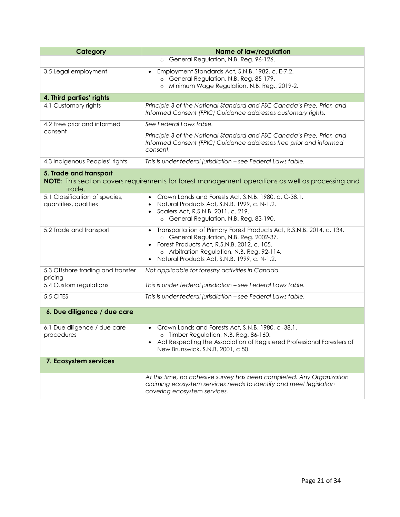| Category                                                | <b>Name of law/regulation</b>                                                                                                                                                                                                                                                             |
|---------------------------------------------------------|-------------------------------------------------------------------------------------------------------------------------------------------------------------------------------------------------------------------------------------------------------------------------------------------|
|                                                         | o General Regulation, N.B. Reg. 96-126.                                                                                                                                                                                                                                                   |
| 3.5 Legal employment                                    | Employment Standards Act, S.N.B. 1982, c. E-7.2.<br>$\bullet$<br>o General Regulation, N.B. Reg. 85-179.<br>Minimum Wage Regulation, N.B. Reg., 2019-2.<br>$\circ$                                                                                                                        |
| 4. Third parties' rights                                |                                                                                                                                                                                                                                                                                           |
| 4.1 Customary rights                                    | Principle 3 of the National Standard and FSC Canada's Free, Prior, and<br>Informed Consent (FPIC) Guidance addresses customary rights.                                                                                                                                                    |
| 4.2 Free prior and informed                             | See Federal Laws table.                                                                                                                                                                                                                                                                   |
| consent                                                 | Principle 3 of the National Standard and FSC Canada's Free, Prior, and<br>Informed Consent (FPIC) Guidance addresses free prior and informed<br>consent.                                                                                                                                  |
| 4.3 Indigenous Peoples' rights                          | This is under federal jurisdiction - see Federal Laws table.                                                                                                                                                                                                                              |
| 5. Trade and transport<br>trade.                        | NOTE: This section covers requirements for forest management operations as well as processing and                                                                                                                                                                                         |
| 5.1 Classification of species,<br>quantities, qualities | Crown Lands and Forests Act, S.N.B. 1980, c. C-38.1.<br>Natural Products Act, S.N.B. 1999, c. N-1.2.<br>$\bullet$<br>Scalers Act, R.S.N.B. 2011, c. 219.<br>$\bullet$<br>o General Regulation, N.B. Reg. 83-190.                                                                          |
| 5.2 Trade and transport                                 | Transportation of Primary Forest Products Act, R.S.N.B. 2014, c. 134.<br>$\bullet$<br>o General Regulation, N.B. Reg. 2002-37.<br>Forest Products Act, R.S.N.B. 2012, c. 105.<br>o Arbitration Regulation, N.B. Reg. 92-114.<br>Natural Products Act, S.N.B. 1999, c. N-1.2.<br>$\bullet$ |
| 5.3 Offshore trading and transfer<br>pricing            | Not applicable for forestry activities in Canada.                                                                                                                                                                                                                                         |
| 5.4 Custom regulations                                  | This is under federal jurisdiction - see Federal Laws table.                                                                                                                                                                                                                              |
| 5.5 CITES                                               | This is under federal jurisdiction - see Federal Laws table.                                                                                                                                                                                                                              |
| 6. Due diligence / due care                             |                                                                                                                                                                                                                                                                                           |
| 6.1 Due diligence / due care<br>procedures              | Crown Lands and Forests Act, S.N.B. 1980, c -38.1.<br>o Timber Regulation, N.B. Reg. 86-160.<br>Act Respecting the Association of Registered Professional Foresters of<br>New Brunswick, S.N.B. 2001, c 50.                                                                               |
| 7. Ecosystem services                                   |                                                                                                                                                                                                                                                                                           |
|                                                         | At this time, no cohesive survey has been completed. Any Organization<br>claiming ecosystem services needs to identify and meet legislation<br>covering ecosystem services.                                                                                                               |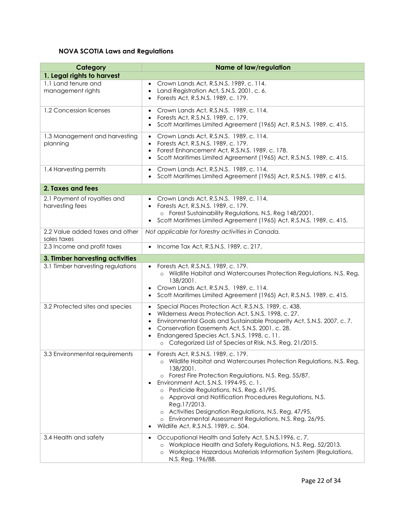## **NOVA SCOTIA Laws and Regulations**

| Category                                        | <b>Name of law/regulation</b>                                                                                                                                                                                                                                                                                                                                                                                                                                                                                             |
|-------------------------------------------------|---------------------------------------------------------------------------------------------------------------------------------------------------------------------------------------------------------------------------------------------------------------------------------------------------------------------------------------------------------------------------------------------------------------------------------------------------------------------------------------------------------------------------|
| 1. Legal rights to harvest                      |                                                                                                                                                                                                                                                                                                                                                                                                                                                                                                                           |
| 1.1 Land tenure and<br>management rights        | Crown Lands Act, R.S.N.S. 1989, c. 114.<br>Land Registration Act, S.N.S. 2001, c. 6.<br>$\bullet$<br>Forests Act, R.S.N.S. 1989, c. 179.<br>$\bullet$                                                                                                                                                                                                                                                                                                                                                                     |
| 1.2 Concession licenses                         | Crown Lands Act, R.S.N.S. 1989, c. 114.<br>$\bullet$<br>Forests Act, R.S.N.S. 1989, c. 179.<br>$\bullet$<br>Scott Maritimes Limited Agreement (1965) Act, R.S.N.S. 1989, c. 415.<br>$\bullet$                                                                                                                                                                                                                                                                                                                             |
| 1.3 Management and harvesting<br>planning       | Crown Lands Act, R.S.N.S. 1989, c. 114.<br>Forests Act, R.S.N.S. 1989, c. 179.<br>$\bullet$<br>Forest Enhancement Act, R.S.N.S. 1989, c. 178.<br>$\bullet$<br>Scott Maritimes Limited Agreement (1965) Act, R.S.N.S. 1989, c. 415.<br>$\bullet$                                                                                                                                                                                                                                                                           |
| 1.4 Harvesting permits                          | Crown Lands Act, R.S.N.S. 1989, c. 114.<br>$\bullet$<br>Scott Maritimes Limited Agreement (1965) Act, R.S.N.S. 1989, c 415.<br>$\bullet$                                                                                                                                                                                                                                                                                                                                                                                  |
| 2. Taxes and fees                               |                                                                                                                                                                                                                                                                                                                                                                                                                                                                                                                           |
| 2.1 Payment of royalties and<br>harvesting fees | Crown Lands Act, R.S.N.S. 1989, c. 114.<br>Forests Act, R.S.N.S. 1989, c. 179.<br>o Forest Sustainability Regulations, N.S. Reg 148/2001.<br>Scott Maritimes Limited Agreement (1965) Act, R.S.N.S. 1989, c. 415.<br>$\bullet$                                                                                                                                                                                                                                                                                            |
| 2.2 Value added taxes and other<br>sales taxes  | Not applicable for forestry activities in Canada.                                                                                                                                                                                                                                                                                                                                                                                                                                                                         |
| 2.3 Income and profit taxes                     | Income Tax Act, R.S.N.S. 1989, c. 217.<br>$\bullet$                                                                                                                                                                                                                                                                                                                                                                                                                                                                       |
| 3. Timber harvesting activities                 |                                                                                                                                                                                                                                                                                                                                                                                                                                                                                                                           |
| 3.1 Timber harvesting regulations               | Forests Act, R.S.N.S. 1989, c. 179.<br>Wildlife Habitat and Watercourses Protection Regulations, N.S. Reg.<br>138/2001.<br>Crown Lands Act, R.S.N.S. 1989, c. 114.<br>Scott Maritimes Limited Agreement (1965) Act, R.S.N.S. 1989, c. 415.<br>$\bullet$                                                                                                                                                                                                                                                                   |
| 3.2 Protected sites and species                 | Special Places Protection Act, R.S.N.S. 1989, c. 438.<br>$\bullet$<br>Wilderness Areas Protection Act, S.N.S. 1998, c. 27.<br>$\bullet$<br>Environmental Goals and Sustainable Prosperity Act, S.N.S. 2007, c. 7.<br>$\bullet$<br>Conservation Easements Act, S.N.S. 2001, c. 28.<br>$\bullet$<br>Endangered Species Act, S.N.S. 1998, c. 11.<br>o Categorized List of Species at Risk, N.S. Reg. 21/2015.                                                                                                                |
| 3.3 Environmental requirements                  | Forests Act, R.S.N.S. 1989, c. 179.<br>o Wildlife Habitat and Watercourses Protection Regulations, N.S. Reg.<br>138/2001.<br>o Forest Fire Protection Regulations, N.S. Reg. 55/87.<br>Environment Act, S.N.S. 1994-95, c. 1.<br>Pesticide Regulations, N.S. Reg. 61/95.<br>$\circ$<br>o Approval and Notification Procedures Regulations, N.S.<br>Reg.17/2013.<br>Activities Designation Regulations, N.S. Reg. 47/95.<br>Environmental Assessment Regulations, N.S. Reg. 26/95.<br>Wildlife Act, R.S.N.S. 1989, c. 504. |
| 3.4 Health and safety                           | Occupational Health and Safety Act, S.N.S.1996, c. 7.<br>Workplace Health and Safety Regulations, N.S. Reg. 52/2013.<br>Workplace Hazardous Materials Information System (Regulations,<br>N.S. Reg. 196/88.                                                                                                                                                                                                                                                                                                               |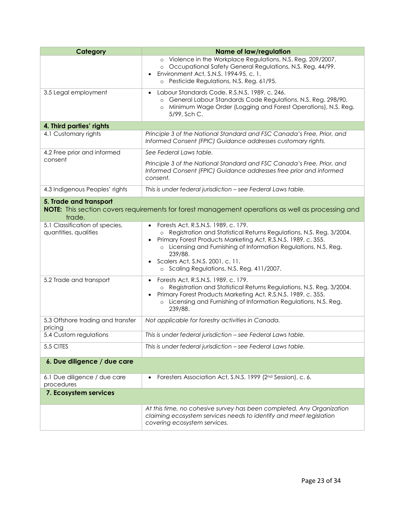| Category                                                                                                                                     | <b>Name of law/regulation</b>                                                                                                                                                                                                                                                                                                                  |  |
|----------------------------------------------------------------------------------------------------------------------------------------------|------------------------------------------------------------------------------------------------------------------------------------------------------------------------------------------------------------------------------------------------------------------------------------------------------------------------------------------------|--|
|                                                                                                                                              | o Violence in the Workplace Regulations, N.S. Reg. 209/2007.<br>o Occupational Safety General Regulations, N.S. Reg. 44/99.<br>Environment Act, S.N.S. 1994-95, c. 1.<br>o Pesticide Regulations, N.S. Reg. 61/95.                                                                                                                             |  |
| 3.5 Legal employment                                                                                                                         | Labour Standards Code. R.S.N.S. 1989, c. 246.<br>o General Labour Standards Code Regulations, N.S. Reg. 298/90.<br>Minimum Wage Order (Logging and Forest Operations), N.S. Reg.<br>$\circ$<br>5/99, Sch C.                                                                                                                                    |  |
| 4. Third parties' rights                                                                                                                     |                                                                                                                                                                                                                                                                                                                                                |  |
| 4.1 Customary rights                                                                                                                         | Principle 3 of the National Standard and FSC Canada's Free, Prior, and<br>Informed Consent (FPIC) Guidance addresses customary rights.                                                                                                                                                                                                         |  |
| 4.2 Free prior and informed                                                                                                                  | See Federal Laws table.                                                                                                                                                                                                                                                                                                                        |  |
| consent                                                                                                                                      | Principle 3 of the National Standard and FSC Canada's Free, Prior, and<br>Informed Consent (FPIC) Guidance addresses free prior and informed<br>consent.                                                                                                                                                                                       |  |
| 4.3 Indigenous Peoples' rights                                                                                                               | This is under federal jurisdiction - see Federal Laws table.                                                                                                                                                                                                                                                                                   |  |
| 5. Trade and transport<br><b>NOTE:</b> This section covers requirements for forest management operations as well as processing and<br>trade. |                                                                                                                                                                                                                                                                                                                                                |  |
| 5.1 Classification of species,<br>quantities, qualities                                                                                      | Forests Act, R.S.N.S. 1989, c. 179.<br>o Registration and Statistical Returns Regulations, N.S. Reg. 3/2004.<br>Primary Forest Products Marketing Act, R.S.N.S. 1989, c. 355.<br>o Licensing and Furnishing of Information Regulations, N.S. Reg.<br>239/88.<br>Scalers Act, S.N.S. 2001, c. 11.<br>o Scaling Regulations, N.S. Reg. 411/2007. |  |
| 5.2 Trade and transport                                                                                                                      | Forests Act, R.S.N.S. 1989, c. 179.<br>o Registration and Statistical Returns Regulations, N.S. Reg. 3/2004.<br>Primary Forest Products Marketing Act, R.S.N.S. 1989, c. 355.<br>$\bullet$<br>Licensing and Furnishing of Information Regulations, N.S. Reg.<br>$\circ$<br>239/88.                                                             |  |
| 5.3 Offshore trading and transfer<br>pricing                                                                                                 | Not applicable for forestry activities in Canada.                                                                                                                                                                                                                                                                                              |  |
| 5.4 Custom regulations                                                                                                                       | This is under federal jurisdiction - see Federal Laws table.                                                                                                                                                                                                                                                                                   |  |
| 5.5 CITES                                                                                                                                    | This is under federal jurisdiction - see Federal Laws table.                                                                                                                                                                                                                                                                                   |  |
| 6. Due diligence / due care                                                                                                                  |                                                                                                                                                                                                                                                                                                                                                |  |
| 6.1 Due diligence / due care<br>procedures                                                                                                   | Foresters Association Act, S.N.S. 1999 (2nd Session), c. 6.<br>$\bullet$                                                                                                                                                                                                                                                                       |  |
| 7. Ecosystem services                                                                                                                        |                                                                                                                                                                                                                                                                                                                                                |  |
|                                                                                                                                              | At this time, no cohesive survey has been completed. Any Organization<br>claiming ecosystem services needs to identify and meet legislation<br>covering ecosystem services.                                                                                                                                                                    |  |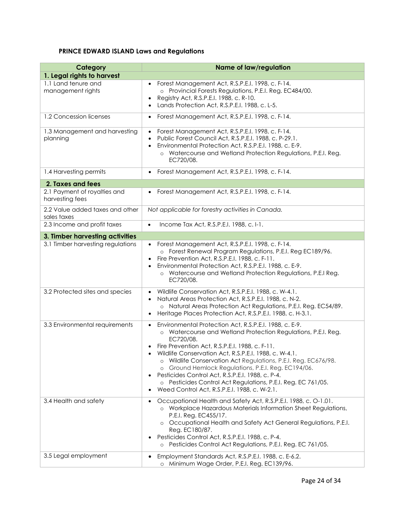## **PRINCE EDWARD ISLAND Laws and Regulations**

| Category                                        | <b>Name of law/regulation</b>                                                                                                                                                                                                                                                                                                                                                                                                                                                                                                                                                   |
|-------------------------------------------------|---------------------------------------------------------------------------------------------------------------------------------------------------------------------------------------------------------------------------------------------------------------------------------------------------------------------------------------------------------------------------------------------------------------------------------------------------------------------------------------------------------------------------------------------------------------------------------|
| 1. Legal rights to harvest                      |                                                                                                                                                                                                                                                                                                                                                                                                                                                                                                                                                                                 |
| 1.1 Land tenure and<br>management rights        | Forest Management Act, R.S.P.E.I. 1998, c. F-14.<br>o Provincial Forests Regulations, P.E.I. Reg. EC484/00.<br>Registry Act, R.S.P.E.I. 1988, c. R-10.<br>$\bullet$<br>Lands Protection Act, R.S.P.E.I. 1988, c. L-5.<br>$\bullet$                                                                                                                                                                                                                                                                                                                                              |
| 1.2 Concession licenses                         | Forest Management Act, R.S.P.E.I. 1998, c. F-14.<br>$\bullet$                                                                                                                                                                                                                                                                                                                                                                                                                                                                                                                   |
| 1.3 Management and harvesting<br>planning       | Forest Management Act, R.S.P.E.I. 1998, c. F-14.<br>Public Forest Council Act, R.S.P.E.I. 1988, c. P-29.1.<br>$\bullet$<br>Environmental Protection Act, R.S.P.E.I. 1988, c. E-9.<br>$\bullet$<br>o Watercourse and Wetland Protection Regulations, P.E.I. Reg.<br>EC720/08.                                                                                                                                                                                                                                                                                                    |
| 1.4 Harvesting permits                          | Forest Management Act, R.S.P.E.I. 1998, c. F-14.<br>$\bullet$                                                                                                                                                                                                                                                                                                                                                                                                                                                                                                                   |
| 2. Taxes and fees                               |                                                                                                                                                                                                                                                                                                                                                                                                                                                                                                                                                                                 |
| 2.1 Payment of royalties and<br>harvesting fees | Forest Management Act, R.S.P.E.I. 1998, c. F-14.                                                                                                                                                                                                                                                                                                                                                                                                                                                                                                                                |
| 2.2 Value added taxes and other<br>sales taxes  | Not applicable for forestry activities in Canada.                                                                                                                                                                                                                                                                                                                                                                                                                                                                                                                               |
| 2.3 Income and profit taxes                     | Income Tax Act, R.S.P.E.I. 1988, c. I-1.<br>$\bullet$                                                                                                                                                                                                                                                                                                                                                                                                                                                                                                                           |
| 3. Timber harvesting activities                 |                                                                                                                                                                                                                                                                                                                                                                                                                                                                                                                                                                                 |
| 3.1 Timber harvesting regulations               | Forest Management Act, R.S.P.E.I. 1998, c. F-14.<br>o Forest Renewal Program Regulations, P.E.I. Reg EC189/96.<br>Fire Prevention Act, R.S.P.E.I. 1988, c. F-11.<br>Environmental Protection Act, R.S.P.E.I. 1988, c. E-9.<br>$\bullet$<br>o Watercourse and Wetland Protection Regulations, P.E.I Reg.<br>EC720/08.                                                                                                                                                                                                                                                            |
| 3.2 Protected sites and species                 | Wildlife Conservation Act, R.S.P.E.I. 1988, c. W-4.1.<br>Natural Areas Protection Act, R.S.P.E.I. 1988, c. N-2.<br>o Natural Areas Protection Act Regulations, P.E.I. Reg. EC54/89.<br>Heritage Places Protection Act, R.S.P.E.I. 1988, c. H-3.1.<br>$\bullet$                                                                                                                                                                                                                                                                                                                  |
| 3.3 Environmental requirements                  | Environmental Protection Act, R.S.P.E.I. 1988, c. E-9.<br>$\bullet$<br>o Watercourse and Wetland Protection Regulations, P.E.I. Reg.<br>EC720/08.<br>Fire Prevention Act, R.S.P.E.I. 1988, c. F-11.<br>Wildlife Conservation Act, R.S.P.E.I. 1988, c. W-4.1.<br>o Wildlife Conservation Act Regulations, P.E.I. Reg. EC676/98.<br>Ground Hemlock Regulations, P.E.I. Reg. EC194/06.<br>$\circ$<br>Pesticides Control Act, R.S.P.E.I. 1988, c. P-4.<br>$\bullet$<br>o Pesticides Control Act Regulations, P.E.I. Reg. EC 761/05.<br>Weed Control Act, R.S.P.E.I. 1988, c. W-2.1. |
| 3.4 Health and safety                           | Occupational Health and Safety Act, R.S.P.E.I. 1988, c. O-1.01.<br>o Workplace Hazardous Materials Information Sheet Regulations,<br>P.E.I. Reg. EC455/17.<br>Occupational Health and Safety Act General Regulations, P.E.I.<br>$\circ$<br>Reg. EC180/87.<br>Pesticides Control Act, R.S.P.E.I. 1988, c. P-4.<br>o Pesticides Control Act Regulations, P.E.I. Reg. EC 761/05.                                                                                                                                                                                                   |
| 3.5 Legal employment                            | Employment Standards Act, R.S.P.E.I. 1988, c. E-6.2.<br>$\bullet$<br>o Minimum Wage Order, P.E.I. Reg. EC139/96.                                                                                                                                                                                                                                                                                                                                                                                                                                                                |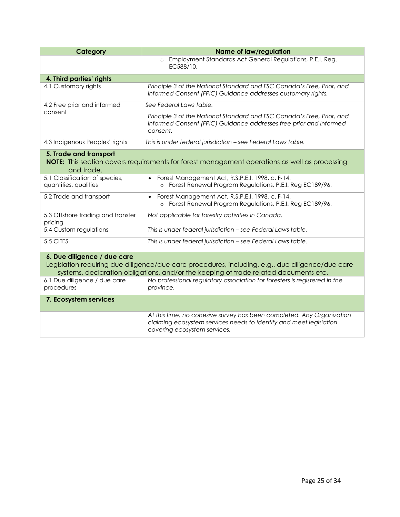| Category                                                                                                                                                                                                                | <b>Name of law/regulation</b>                                                                                                                                               |
|-------------------------------------------------------------------------------------------------------------------------------------------------------------------------------------------------------------------------|-----------------------------------------------------------------------------------------------------------------------------------------------------------------------------|
|                                                                                                                                                                                                                         | Employment Standards Act General Regulations, P.E.I. Reg.<br>$\circ$<br>EC588/10.                                                                                           |
| 4. Third parties' rights                                                                                                                                                                                                |                                                                                                                                                                             |
| 4.1 Customary rights                                                                                                                                                                                                    | Principle 3 of the National Standard and FSC Canada's Free, Prior, and<br>Informed Consent (FPIC) Guidance addresses customary rights.                                      |
| 4.2 Free prior and informed                                                                                                                                                                                             | See Federal Laws table.                                                                                                                                                     |
| consent                                                                                                                                                                                                                 | Principle 3 of the National Standard and FSC Canada's Free, Prior, and<br>Informed Consent (FPIC) Guidance addresses free prior and informed<br>consent.                    |
| 4.3 Indigenous Peoples' rights                                                                                                                                                                                          | This is under federal jurisdiction - see Federal Laws table.                                                                                                                |
| 5. Trade and transport<br><b>NOTE:</b> This section covers requirements for forest management operations as well as processing<br>and trade.                                                                            |                                                                                                                                                                             |
| 5.1 Classification of species,<br>quantities, qualities                                                                                                                                                                 | Forest Management Act, R.S.P.E.I. 1998, c. F-14.<br>$\bullet$<br>Forest Renewal Program Regulations, P.E.I. Reg EC189/96.<br>$\circ$                                        |
| 5.2 Trade and transport                                                                                                                                                                                                 | Forest Management Act, R.S.P.E.I. 1998, c. F-14.<br>$\bullet$<br>o Forest Renewal Program Regulations, P.E.I. Reg EC189/96.                                                 |
| 5.3 Offshore trading and transfer<br>pricing                                                                                                                                                                            | Not applicable for forestry activities in Canada.                                                                                                                           |
| 5.4 Custom regulations                                                                                                                                                                                                  | This is under federal jurisdiction - see Federal Laws table.                                                                                                                |
| 5.5 CITES                                                                                                                                                                                                               | This is under federal jurisdiction - see Federal Laws table.                                                                                                                |
| 6. Due diligence / due care<br>Legislation requiring due diligence/due care procedures, including, e.g., due diligence/due care<br>systems, declaration obligations, and/or the keeping of trade related documents etc. |                                                                                                                                                                             |
| 6.1 Due diligence / due care<br>procedures                                                                                                                                                                              | No professional regulatory association for foresters is registered in the<br>province.                                                                                      |
| 7. Ecosystem services                                                                                                                                                                                                   |                                                                                                                                                                             |
|                                                                                                                                                                                                                         | At this time, no cohesive survey has been completed. Any Organization<br>claiming ecosystem services needs to identify and meet legislation<br>covering ecosystem services. |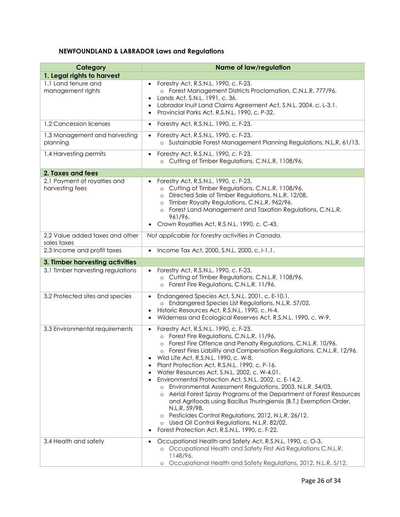## **NEWFOUNDLAND & LABRADOR Laws and Regulations**

| Category                                        | <b>Name of law/regulation</b>                                                                                                                                                                                                                                                                                                                                                                                                                                                                                                                                                                                                                                                                                                                                                                                                                                                                           |
|-------------------------------------------------|---------------------------------------------------------------------------------------------------------------------------------------------------------------------------------------------------------------------------------------------------------------------------------------------------------------------------------------------------------------------------------------------------------------------------------------------------------------------------------------------------------------------------------------------------------------------------------------------------------------------------------------------------------------------------------------------------------------------------------------------------------------------------------------------------------------------------------------------------------------------------------------------------------|
| 1. Legal rights to harvest                      |                                                                                                                                                                                                                                                                                                                                                                                                                                                                                                                                                                                                                                                                                                                                                                                                                                                                                                         |
| 1.1 Land tenure and<br>management rights        | Forestry Act, R.S.N.L. 1990, c. F-23.<br>$\bullet$<br>o Forest Management Districts Proclamation, C.N.L.R. 777/96.<br>Lands Act, S.N.L. 1991, c. 36.<br>$\bullet$<br>Labrador Inuit Land Claims Agreement Act, S.N.L. 2004, c. L-3.1.<br>$\bullet$<br>Provincial Parks Act, R.S.N.L. 1990, c. P-32.                                                                                                                                                                                                                                                                                                                                                                                                                                                                                                                                                                                                     |
| 1.2 Concession licenses                         | Forestry Act, R.S.N.L. 1990, c. F-23.<br>$\bullet$                                                                                                                                                                                                                                                                                                                                                                                                                                                                                                                                                                                                                                                                                                                                                                                                                                                      |
| 1.3 Management and harvesting<br>planning       | Forestry Act, R.S.N.L. 1990, c. F-23.<br>$\bullet$<br>o Sustainable Forest Management Planning Regulations, N.L.R. 61/13.                                                                                                                                                                                                                                                                                                                                                                                                                                                                                                                                                                                                                                                                                                                                                                               |
| 1.4 Harvesting permits                          | Forestry Act, R.S.N.L. 1990, c. F-23.<br>$\bullet$<br>o Cutting of Timber Regulations, C.N.L.R. 1108/96.                                                                                                                                                                                                                                                                                                                                                                                                                                                                                                                                                                                                                                                                                                                                                                                                |
| 2. Taxes and fees                               |                                                                                                                                                                                                                                                                                                                                                                                                                                                                                                                                                                                                                                                                                                                                                                                                                                                                                                         |
| 2.1 Payment of royalties and<br>harvesting fees | Forestry Act, R.S.N.L. 1990, c. F-23.<br>o Cutting of Timber Regulations, C.N.L.R. 1108/96.<br>Directed Sale of Timber Regulations, N.L.R. 12/08.<br>$\circ$<br>Timber Royalty Regulations, C.N.L.R. 962/96.<br>Forest Land Management and Taxation Regulations, C.N.L.R.<br>961/96.<br>Crown Royalties Act, R.S.N.L. 1990, c. C-43.<br>$\bullet$                                                                                                                                                                                                                                                                                                                                                                                                                                                                                                                                                       |
| 2.2 Value added taxes and other<br>sales taxes  | Not applicable for forestry activities in Canada.                                                                                                                                                                                                                                                                                                                                                                                                                                                                                                                                                                                                                                                                                                                                                                                                                                                       |
| 2.3 Income and profit taxes                     | Income Tax Act, 2000, S.N.L. 2000, c. I-1.1.<br>$\bullet$                                                                                                                                                                                                                                                                                                                                                                                                                                                                                                                                                                                                                                                                                                                                                                                                                                               |
| 3. Timber harvesting activities                 |                                                                                                                                                                                                                                                                                                                                                                                                                                                                                                                                                                                                                                                                                                                                                                                                                                                                                                         |
| 3.1 Timber harvesting regulations               | Forestry Act, R.S.N.L. 1990, c. F-23.<br>$\bullet$<br>o Cutting of Timber Regulations, C.N.L.R. 1108/96.<br>Forest Fire Regulations, C.N.L.R. 11/96.<br>$\circ$                                                                                                                                                                                                                                                                                                                                                                                                                                                                                                                                                                                                                                                                                                                                         |
| 3.2 Protected sites and species                 | Endangered Species Act, S.N.L. 2001, c. E-10.1.<br>$\bullet$<br>o Endangered Species List Regulations, N.L.R. 57/02.<br>Historic Resources Act, R.S.N.L. 1990, c. H-4.<br>Wilderness and Ecological Reserves Act, R.S.N.L. 1990, c. W-9.<br>$\bullet$                                                                                                                                                                                                                                                                                                                                                                                                                                                                                                                                                                                                                                                   |
| 3.3 Environmental requirements                  | Forestry Act, R.S.N.L. 1990, c. F-23.<br>$\bullet$<br>Forest Fire Regulations, C.N.L.R. 11/96.<br>$\circ$<br>Forest Fire Offence and Penalty Regulations, C.N.L.R. 10/96.<br>Forest Fires Liability and Compensation Regulations, C.N.L.R. 12/96.<br>$\circ$<br>Wild Life Act, R.S.N.L. 1990, c. W-8.<br>$\bullet$<br>Plant Protection Act, R.S.N.L. 1990, c. P-16.<br>$\bullet$<br>Water Resources Act, S.N.L. 2002, c. W-4.01.<br>$\bullet$<br>Environmental Protection Act, S.N.L. 2002, c. E-14.2.<br>$\bullet$<br>Environmental Assessment Regulations, 2003, N.L.R. 54/03.<br>Aerial Forest Spray Programs of the Department of Forest Resources<br>and Agrifoods using Bacillus Thuringiensis (B.T.) Exemption Order,<br>N.L.R. 59/98.<br>Pesticides Control Regulations, 2012, N.L.R. 26/12.<br>o Used Oil Control Regulations, N.L.R. 82/02.<br>Forest Protection Act, R.S.N.L. 1990, c. F-22. |
| 3.4 Health and safety                           | Occupational Health and Safety Act, R.S.N.L. 1990, c. O-3.<br>٠<br>o Occupational Health and Safety First Aid Regulations C.N.L.R.<br>1148/96.<br>Occupational Health and Safety Regulations, 2012, N.L.R. 5/12.<br>$\circ$                                                                                                                                                                                                                                                                                                                                                                                                                                                                                                                                                                                                                                                                             |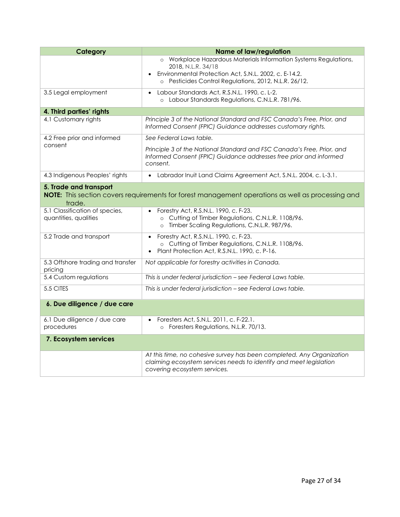| Category                                                                                                                              | <b>Name of law/regulation</b>                                                                                                                                                                            |
|---------------------------------------------------------------------------------------------------------------------------------------|----------------------------------------------------------------------------------------------------------------------------------------------------------------------------------------------------------|
|                                                                                                                                       | o Workplace Hazardous Materials Information Systems Regulations,<br>2018, N.L.R. 34/18<br>Environmental Protection Act, S.N.L. 2002, c. E-14.2.<br>o Pesticides Control Regulations, 2012, N.L.R. 26/12. |
| 3.5 Legal employment                                                                                                                  | Labour Standards Act, R.S.N.L. 1990, c. L-2.<br>$\bullet$<br>o Labour Standards Regulations, C.N.L.R. 781/96.                                                                                            |
| 4. Third parties' rights                                                                                                              |                                                                                                                                                                                                          |
| 4.1 Customary rights                                                                                                                  | Principle 3 of the National Standard and FSC Canada's Free, Prior, and<br>Informed Consent (FPIC) Guidance addresses customary rights.                                                                   |
| 4.2 Free prior and informed                                                                                                           | See Federal Laws table.                                                                                                                                                                                  |
| consent                                                                                                                               | Principle 3 of the National Standard and FSC Canada's Free, Prior, and<br>Informed Consent (FPIC) Guidance addresses free prior and informed<br>consent.                                                 |
| 4.3 Indigenous Peoples' rights                                                                                                        | • Labrador Inuit Land Claims Agreement Act, S.N.L. 2004, c. L-3.1.                                                                                                                                       |
| 5. Trade and transport<br>NOTE: This section covers requirements for forest management operations as well as processing and<br>trade. |                                                                                                                                                                                                          |
| 5.1 Classification of species,<br>quantities, qualities                                                                               | Forestry Act, R.S.N.L. 1990, c. F-23.<br>$\bullet$<br>o Cutting of Timber Regulations, C.N.L.R. 1108/96.<br>Timber Scaling Regulations, C.N.L.R. 987/96.<br>$\circ$                                      |
| 5.2 Trade and transport                                                                                                               | Forestry Act, R.S.N.L. 1990, c. F-23.<br>$\bullet$<br>o Cutting of Timber Regulations, C.N.L.R. 1108/96.<br>Plant Protection Act, R.S.N.L. 1990, c. P-16.<br>$\bullet$                                   |
| 5.3 Offshore trading and transfer<br>pricing                                                                                          | Not applicable for forestry activities in Canada.                                                                                                                                                        |
| 5.4 Custom regulations                                                                                                                | This is under federal jurisdiction - see Federal Laws table.                                                                                                                                             |
| 5.5 CITES                                                                                                                             | This is under federal jurisdiction - see Federal Laws table.                                                                                                                                             |
| 6. Due diligence / due care                                                                                                           |                                                                                                                                                                                                          |
| 6.1 Due diligence / due care<br>procedures                                                                                            | Foresters Act, S.N.L. 2011, c. F-22.1.<br>$\bullet$<br>Foresters Regulations, N.L.R. 70/13.                                                                                                              |
| 7. Ecosystem services                                                                                                                 |                                                                                                                                                                                                          |
|                                                                                                                                       | At this time, no cohesive survey has been completed. Any Organization<br>claiming ecosystem services needs to identify and meet legislation<br>covering ecosystem services.                              |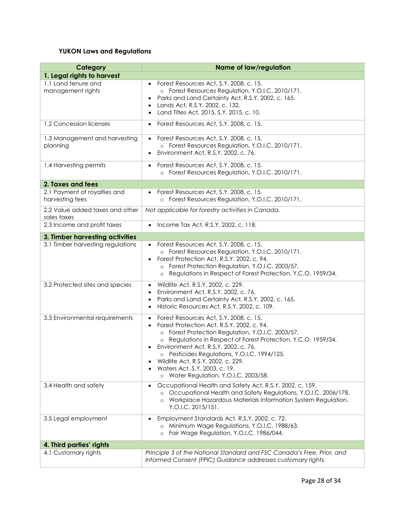## **YUKON Laws and Regulations**

| Category                                        | <b>Name of law/regulation</b>                                                                                                                                                                                                                                                                                                                                                                                                                                  |
|-------------------------------------------------|----------------------------------------------------------------------------------------------------------------------------------------------------------------------------------------------------------------------------------------------------------------------------------------------------------------------------------------------------------------------------------------------------------------------------------------------------------------|
| 1. Legal rights to harvest                      |                                                                                                                                                                                                                                                                                                                                                                                                                                                                |
| 1.1 Land tenure and<br>management rights        | Forest Resources Act, S.Y. 2008, c. 15.<br>o Forest Resources Regulation, Y.O.I.C. 2010/171.<br>Parks and Land Certainty Act, R.S.Y. 2002, c. 165.<br>$\bullet$<br>Lands Act, R.S.Y. 2002, c. 132.<br>$\bullet$<br>Land Titles Act, 2015, S.Y. 2015, c. 10.<br>$\bullet$                                                                                                                                                                                       |
| 1.2 Concession licenses                         | Forest Resources Act, S.Y. 2008, c. 15.<br>$\bullet$                                                                                                                                                                                                                                                                                                                                                                                                           |
| 1.3 Management and harvesting<br>planning       | Forest Resources Act, S.Y. 2008, c. 15.<br>o Forest Resources Regulation, Y.O.I.C. 2010/171.<br>Environment Act, R.S.Y. 2002, c. 76.<br>$\bullet$                                                                                                                                                                                                                                                                                                              |
| 1.4 Harvesting permits                          | Forest Resources Act, S.Y. 2008, c. 15.<br>$\bullet$<br>o Forest Resources Regulation, Y.O.I.C. 2010/171.                                                                                                                                                                                                                                                                                                                                                      |
| 2. Taxes and fees                               |                                                                                                                                                                                                                                                                                                                                                                                                                                                                |
| 2.1 Payment of royalties and<br>harvesting fees | Forest Resources Act, S.Y. 2008, c. 15.<br>o Forest Resources Regulation, Y.O.I.C. 2010/171.                                                                                                                                                                                                                                                                                                                                                                   |
| 2.2 Value added taxes and other<br>sales taxes  | Not applicable for forestry activities in Canada.                                                                                                                                                                                                                                                                                                                                                                                                              |
| 2.3 Income and profit taxes                     | Income Tax Act, R.S.Y. 2002, c. 118.                                                                                                                                                                                                                                                                                                                                                                                                                           |
| 3. Timber harvesting activities                 |                                                                                                                                                                                                                                                                                                                                                                                                                                                                |
| 3.1 Timber harvesting regulations               | Forest Resources Act, S.Y. 2008, c. 15.<br>o Forest Resources Regulation, Y.O.I.C. 2010/171.<br>Forest Protection Act, R.S.Y. 2002, c. 94.<br>o Forest Protection Regulation, Y.O.I.C. 2003/57.<br>Regulations in Respect of Forest Protection, Y.C.O. 1959/34.<br>$\circ$                                                                                                                                                                                     |
| 3.2 Protected sites and species                 | Wildlife Act, R.S.Y. 2002, c. 229.<br>$\bullet$<br>Environment Act, R.S.Y. 2002, c. 76.<br>$\bullet$<br>Parks and Land Certainty Act, R.S.Y. 2002, c. 165.<br>$\bullet$<br>Historic Resources Act, R.S.Y. 2002, c. 109.<br>$\bullet$                                                                                                                                                                                                                           |
| 3.3 Environmental requirements                  | Forest Resources Act, S.Y. 2008, c. 15.<br>$\bullet$<br>Forest Protection Act, R.S.Y. 2002, c. 94.<br>$\bullet$<br>o Forest Protection Regulation, Y.O.I.C. 2003/57.<br>Regulations in Respect of Forest Protection, Y.C.O. 1959/34.<br>Environment Act, R.S.Y. 2002, c. 76.<br>o Pesticides Regulations, Y.O.I.C. 1994/125.<br>Wildlife Act, R.S.Y. 2002, c. 229.<br>٠<br>Waters Act, S.Y. 2003, c. 19.<br>$\bullet$<br>o Water Regulation, Y.O.I.C. 2003/58. |
| 3.4 Health and safety                           | Occupational Health and Safety Act, R.S.Y. 2002, c. 159.<br>Occupational Health and Safety Regulations, Y.O.I.C. 2006/178.<br>Workplace Hazardous Materials Information System Regulation,<br>Y.O.I.C. 2015/151.                                                                                                                                                                                                                                               |
| 3.5 Legal employment                            | Employment Standards Act, R.S.Y. 2002, c. 72.<br>$\bullet$<br>o Minimum Wage Regulations, Y.O.I.C. 1988/63.<br>Fair Wage Regulation, Y.O.I.C. 1986/044.                                                                                                                                                                                                                                                                                                        |
| 4. Third parties' rights                        |                                                                                                                                                                                                                                                                                                                                                                                                                                                                |
| 4.1 Customary rights                            | Principle 3 of the National Standard and FSC Canada's Free, Prior, and<br>Informed Consent (FPIC) Guidance addresses customary rights.                                                                                                                                                                                                                                                                                                                         |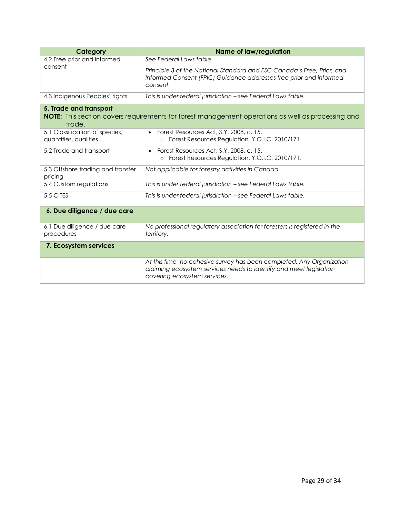| Category                                                | <b>Name of law/regulation</b>                                                                                                                                               |
|---------------------------------------------------------|-----------------------------------------------------------------------------------------------------------------------------------------------------------------------------|
| 4.2 Free prior and informed                             | See Federal Laws table.                                                                                                                                                     |
| consent                                                 | Principle 3 of the National Standard and FSC Canada's Free, Prior, and<br>Informed Consent (FPIC) Guidance addresses free prior and informed<br>consent.                    |
| 4.3 Indigenous Peoples' rights                          | This is under federal jurisdiction - see Federal Laws table.                                                                                                                |
| 5. Trade and transport<br>trade.                        | <b>NOTE:</b> This section covers requirements for forest management operations as well as processing and                                                                    |
| 5.1 Classification of species,<br>quantities, qualities | Forest Resources Act, S.Y. 2008, c. 15.<br>$\bullet$<br>Forest Resources Regulation, Y.O.I.C. 2010/171.                                                                     |
| 5.2 Trade and transport                                 | Forest Resources Act, S.Y. 2008, c. 15.<br>$\bullet$<br>Forest Resources Regulation, Y.O.I.C. 2010/171.<br>$\circ$                                                          |
| 5.3 Offshore trading and transfer<br>pricing            | Not applicable for forestry activities in Canada.                                                                                                                           |
| 5.4 Custom regulations                                  | This is under federal jurisdiction - see Federal Laws table.                                                                                                                |
| 5.5 CITES                                               | This is under federal jurisdiction - see Federal Laws table.                                                                                                                |
| 6. Due diligence / due care                             |                                                                                                                                                                             |
| 6.1 Due diligence / due care<br>procedures              | No professional regulatory association for foresters is registered in the<br>territory.                                                                                     |
| 7. Ecosystem services                                   |                                                                                                                                                                             |
|                                                         | At this time, no cohesive survey has been completed. Any Organization<br>claiming ecosystem services needs to identify and meet legislation<br>covering ecosystem services. |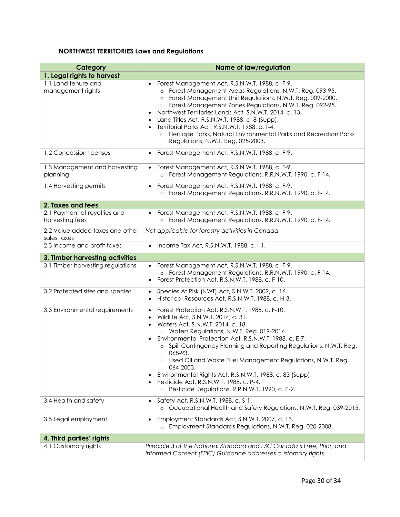## **NORTHWEST TERRITORIES Laws and Regulations**

| Category                                        | <b>Name of law/regulation</b>                                                                                                                                                                                                                                                                                                                                                                                                                                                                                                                                                                    |
|-------------------------------------------------|--------------------------------------------------------------------------------------------------------------------------------------------------------------------------------------------------------------------------------------------------------------------------------------------------------------------------------------------------------------------------------------------------------------------------------------------------------------------------------------------------------------------------------------------------------------------------------------------------|
| 1. Legal rights to harvest                      |                                                                                                                                                                                                                                                                                                                                                                                                                                                                                                                                                                                                  |
| 1.1 Land tenure and<br>management rights        | Forest Management Act, R.S.N.W.T. 1988, c. F-9.<br>o Forest Management Areas Regulations, N.W.T. Reg. 093-95.<br>Forest Management Unit Regulations, N.W.T. Reg. 009-2000.<br>$\circ$<br>o Forest Management Zones Regulations, N.W.T. Reg. 092-95.<br>Northwest Territories Lands Act, S.N.W.T. 2014, c. 13.<br>Land Titles Act, R.S.N.W.T. 1988, c. 8 (Supp).<br>Territorial Parks Act. R.S.N.W.T. 1988, c. T-4.<br>$\bullet$<br>Heritage Parks, Natural Environmental Parks and Recreation Parks<br>$\circ$<br>Regulations, N.W.T. Reg. 025-2003.                                             |
| 1.2 Concession licenses                         | Forest Management Act, R.S.N.W.T. 1988, c. F-9.<br>$\bullet$                                                                                                                                                                                                                                                                                                                                                                                                                                                                                                                                     |
| 1.3 Management and harvesting<br>planning       | Forest Management Act, R.S.N.W.T. 1988, c. F-9.<br>$\bullet$<br>o Forest Management Regulations, R.R.N.W.T. 1990, c. F-14.                                                                                                                                                                                                                                                                                                                                                                                                                                                                       |
| 1.4 Harvesting permits                          | Forest Management Act, R.S.N.W.T. 1988, c. F-9.<br>$\bullet$<br>o Forest Management Regulations, R.R.N.W.T. 1990, c. F-14.                                                                                                                                                                                                                                                                                                                                                                                                                                                                       |
| 2. Taxes and fees                               |                                                                                                                                                                                                                                                                                                                                                                                                                                                                                                                                                                                                  |
| 2.1 Payment of royalties and<br>harvesting fees | Forest Management Act, R.S.N.W.T. 1988, c. F-9.<br>$\bullet$<br>o Forest Management Regulations, R.R.N.W.T. 1990, c. F-14.                                                                                                                                                                                                                                                                                                                                                                                                                                                                       |
| 2.2 Value added taxes and other<br>sales taxes  | Not applicable for forestry activities in Canada.                                                                                                                                                                                                                                                                                                                                                                                                                                                                                                                                                |
| 2.3 Income and profit taxes                     | Income Tax Act, R.S.N.W.T. 1988, c.I-1.                                                                                                                                                                                                                                                                                                                                                                                                                                                                                                                                                          |
| 3. Timber harvesting activities                 |                                                                                                                                                                                                                                                                                                                                                                                                                                                                                                                                                                                                  |
| 3.1 Timber harvesting regulations               | Forest Management Act, R.S.N.W.T. 1988, c. F-9.<br>o Forest Management Regulations, R.R.N.W.T. 1990, c. F-14.<br>Forest Protection Act, R.S.N.W.T. 1988, c. F-10.<br>$\bullet$                                                                                                                                                                                                                                                                                                                                                                                                                   |
| 3.2 Protected sites and species                 | Species At Risk (NWT) Act, S.N.W.T. 2009, c. 16.<br>$\bullet$<br>Historical Resources Act, R.S.N.W.T. 1988, c. H-3.<br>$\bullet$                                                                                                                                                                                                                                                                                                                                                                                                                                                                 |
| 3.3 Environmental requirements                  | Forest Protection Act, R.S.N.W.T. 1988, c. F-10.<br>$\bullet$<br>Wildlife Act, S.N.W.T. 2014, c. 31.<br>$\bullet$<br>Waters Act, S.N.W.T. 2014, c. 18.<br>o Waters Regulations, N.W.T. Reg. 019-2014.<br>Environmental Protection Act, R.S.N.W.T. 1988, c. E-7.<br>o Spill Contingency Planning and Reporting Regulations, N.W.T. Reg.<br>068-93.<br>o Used Oil and Waste Fuel Management Regulations, N.W.T. Reg.<br>064-2003.<br>Environmental Rights Act, R.S.N.W.T. 1988, c. 83 (Supp).<br>٠<br>Pesticide Act, R.S.N.W.T. 1988, c. P-4.<br>o Pesticide Regulations, R.R.N.W.T. 1990, c. P-2. |
| 3.4 Health and safety                           | Safety Act, R.S.N.W.T. 1988, c. S-1.<br>$\bullet$<br>o Occupational Health and Safety Regulations, N.W.T. Reg. 039-2015.                                                                                                                                                                                                                                                                                                                                                                                                                                                                         |
| 3.5 Legal employment                            | Employment Standards Act, S.N.W.T. 2007, c. 13.<br>$\bullet$<br>Employment Standards Regulations, N.W.T. Reg. 020-2008.<br>$\circ$                                                                                                                                                                                                                                                                                                                                                                                                                                                               |
| 4. Third parties' rights                        |                                                                                                                                                                                                                                                                                                                                                                                                                                                                                                                                                                                                  |
| 4.1 Customary rights                            | Principle 3 of the National Standard and FSC Canada's Free, Prior, and<br>Informed Consent (FPIC) Guidance addresses customary rights.                                                                                                                                                                                                                                                                                                                                                                                                                                                           |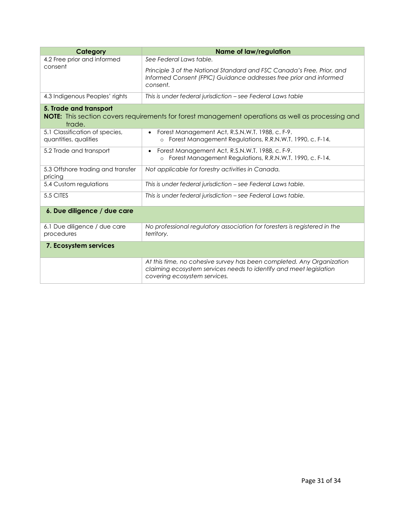| Category                                                | <b>Name of law/regulation</b>                                                                                                                                               |
|---------------------------------------------------------|-----------------------------------------------------------------------------------------------------------------------------------------------------------------------------|
| 4.2 Free prior and informed                             | See Federal Laws table.                                                                                                                                                     |
| consent                                                 | Principle 3 of the National Standard and FSC Canada's Free, Prior, and<br>Informed Consent (FPIC) Guidance addresses free prior and informed<br>consent.                    |
| 4.3 Indigenous Peoples' rights                          | This is under federal jurisdiction - see Federal Laws table                                                                                                                 |
| 5. Trade and transport<br>trade.                        | <b>NOTE:</b> This section covers requirements for forest management operations as well as processing and                                                                    |
| 5.1 Classification of species,<br>quantities, qualities | Forest Management Act, R.S.N.W.T. 1988, c. F-9.<br>$\bullet$<br>Forest Management Regulations, R.R.N.W.T. 1990, c. F-14.<br>$\circ$                                         |
| 5.2 Trade and transport                                 | Forest Management Act, R.S.N.W.T. 1988, c. F-9.<br>$\bullet$<br>Forest Management Regulations, R.R.N.W.T. 1990, c. F-14.<br>$\circ$                                         |
| 5.3 Offshore trading and transfer<br>pricing            | Not applicable for forestry activities in Canada.                                                                                                                           |
| 5.4 Custom regulations                                  | This is under federal jurisdiction – see Federal Laws table.                                                                                                                |
| 5.5 CITES                                               | This is under federal jurisdiction - see Federal Laws table.                                                                                                                |
| 6. Due diligence / due care                             |                                                                                                                                                                             |
| 6.1 Due diligence / due care<br>procedures              | No professional regulatory association for foresters is registered in the<br>territory.                                                                                     |
| 7. Ecosystem services                                   |                                                                                                                                                                             |
|                                                         | At this time, no cohesive survey has been completed. Any Organization<br>claiming ecosystem services needs to identify and meet legislation<br>covering ecosystem services. |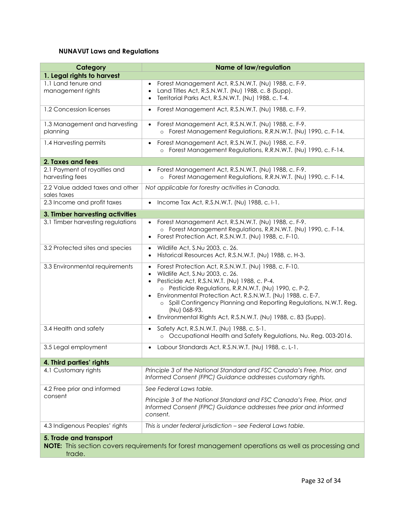## **NUNAVUT Laws and Regulations**

| Category                                        | <b>Name of law/regulation</b>                                                                                                                                                                                                                                                                                                                                                                                                                                                 |
|-------------------------------------------------|-------------------------------------------------------------------------------------------------------------------------------------------------------------------------------------------------------------------------------------------------------------------------------------------------------------------------------------------------------------------------------------------------------------------------------------------------------------------------------|
| 1. Legal rights to harvest                      |                                                                                                                                                                                                                                                                                                                                                                                                                                                                               |
| 1.1 Land tenure and<br>management rights        | Forest Management Act, R.S.N.W.T. (Nu) 1988, c. F-9.<br>$\bullet$<br>Land Titles Act, R.S.N.W.T. (Nu) 1988, c. 8 (Supp).<br>$\bullet$<br>Territorial Parks Act, R.S.N.W.T. (Nu) 1988, c. T-4.<br>$\bullet$                                                                                                                                                                                                                                                                    |
| 1.2 Concession licenses                         | Forest Management Act, R.S.N.W.T. (Nu) 1988, c. F-9.<br>$\bullet$                                                                                                                                                                                                                                                                                                                                                                                                             |
| 1.3 Management and harvesting<br>planning       | Forest Management Act, R.S.N.W.T. (Nu) 1988, c. F-9.<br>Forest Management Regulations, R.R.N.W.T. (Nu) 1990, c. F-14.<br>$\circ$                                                                                                                                                                                                                                                                                                                                              |
| 1.4 Harvesting permits                          | Forest Management Act, R.S.N.W.T. (Nu) 1988, c. F-9.<br>o Forest Management Regulations, R.R.N.W.T. (Nu) 1990, c. F-14.                                                                                                                                                                                                                                                                                                                                                       |
| 2. Taxes and fees                               |                                                                                                                                                                                                                                                                                                                                                                                                                                                                               |
| 2.1 Payment of royalties and<br>harvesting fees | Forest Management Act, R.S.N.W.T. (Nu) 1988, c. F-9.<br>o Forest Management Regulations, R.R.N.W.T. (Nu) 1990, c. F-14.                                                                                                                                                                                                                                                                                                                                                       |
| 2.2 Value added taxes and other<br>sales taxes  | Not applicable for forestry activities in Canada.                                                                                                                                                                                                                                                                                                                                                                                                                             |
| 2.3 Income and profit taxes                     | Income Tax Act, R.S.N.W.T. (Nu) 1988, c. I-1.                                                                                                                                                                                                                                                                                                                                                                                                                                 |
| 3. Timber harvesting activities                 |                                                                                                                                                                                                                                                                                                                                                                                                                                                                               |
| 3.1 Timber harvesting regulations               | Forest Management Act, R.S.N.W.T. (Nu) 1988, c. F-9.<br>o Forest Management Regulations, R.R.N.W.T. (Nu) 1990, c. F-14.<br>Forest Protection Act, R.S.N.W.T. (Nu) 1988, c. F-10.<br>$\bullet$                                                                                                                                                                                                                                                                                 |
| 3.2 Protected sites and species                 | Wildlife Act, S.Nu 2003, c. 26.<br>$\bullet$<br>Historical Resources Act, R.S.N.W.T. (Nu) 1988, c. H-3.<br>$\bullet$                                                                                                                                                                                                                                                                                                                                                          |
| 3.3 Environmental requirements                  | Forest Protection Act, R.S.N.W.T. (Nu) 1988, c. F-10.<br>$\bullet$<br>Wildlife Act, S.Nu 2003, c. 26.<br>$\bullet$<br>Pesticide Act, R.S.N.W.T. (Nu) 1988, c. P-4.<br>$\bullet$<br>o Pesticide Regulations, R.R.N.W.T. (Nu) 1990, c. P-2.<br>Environmental Protection Act, R.S.N.W.T. (Nu) 1988, c. E-7.<br>o Spill Contingency Planning and Reporting Regulations, N.W.T. Reg.<br>(Nu) 068-93.<br>Environmental Rights Act, R.S.N.W.T. (Nu) 1988, c. 83 (Supp).<br>$\bullet$ |
| 3.4 Health and safety                           | Safety Act, R.S.N.W.T. (Nu) 1988, c. S-1.<br>$\bullet$<br>o Occupational Health and Safety Regulations, Nu. Reg. 003-2016.                                                                                                                                                                                                                                                                                                                                                    |
| 3.5 Legal employment                            | Labour Standards Act, R.S.N.W.T. (Nu) 1988, c. L-1.                                                                                                                                                                                                                                                                                                                                                                                                                           |
| 4. Third parties' rights                        |                                                                                                                                                                                                                                                                                                                                                                                                                                                                               |
| 4.1 Customary rights                            | Principle 3 of the National Standard and FSC Canada's Free, Prior, and<br>Informed Consent (FPIC) Guidance addresses customary rights.                                                                                                                                                                                                                                                                                                                                        |
| 4.2 Free prior and informed                     | See Federal Laws table.                                                                                                                                                                                                                                                                                                                                                                                                                                                       |
| consent                                         | Principle 3 of the National Standard and FSC Canada's Free, Prior, and<br>Informed Consent (FPIC) Guidance addresses free prior and informed<br>consent.                                                                                                                                                                                                                                                                                                                      |
| 4.3 Indigenous Peoples' rights                  | This is under federal jurisdiction - see Federal Laws table.                                                                                                                                                                                                                                                                                                                                                                                                                  |
| 5. Trade and transport<br>trade.                | <b>NOTE:</b> This section covers requirements for forest management operations as well as processing and                                                                                                                                                                                                                                                                                                                                                                      |